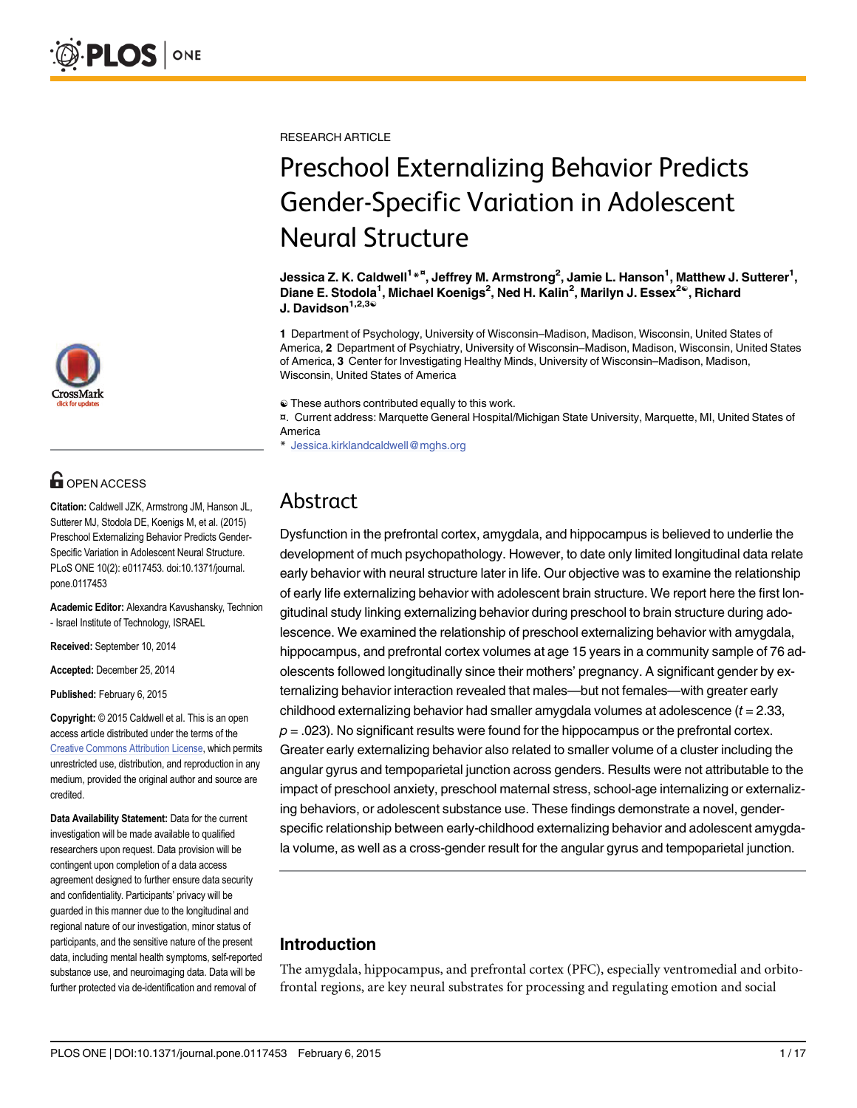

## **OPEN ACCESS**

Citation: Caldwell JZK, Armstrong JM, Hanson JL, Sutterer MJ, Stodola DE, Koenigs M, et al. (2015) Preschool Externalizing Behavior Predicts Gender-Specific Variation in Adolescent Neural Structure. PLoS ONE 10(2): e0117453. doi:10.1371/journal. pone.0117453

Academic Editor: Alexandra Kavushansky, Technion - Israel Institute of Technology, ISRAEL

Received: September 10, 2014

Accepted: December 25, 2014

Published: February 6, 2015

Copyright: © 2015 Caldwell et al. This is an open access article distributed under the terms of the [Creative Commons Attribution License,](http://creativecommons.org/licenses/by/4.0/) which permits unrestricted use, distribution, and reproduction in any medium, provided the original author and source are credited.

Data Availability Statement: Data for the current investigation will be made available to qualified researchers upon request. Data provision will be contingent upon completion of a data access agreement designed to further ensure data security and confidentiality. Participants' privacy will be guarded in this manner due to the longitudinal and regional nature of our investigation, minor status of participants, and the sensitive nature of the present data, including mental health symptoms, self-reported substance use, and neuroimaging data. Data will be further protected via de-identification and removal of

RESEARCH ARTICLE

# Preschool Externalizing Behavior Predicts Gender-Specific Variation in Adolescent Neural Structure

Jessica Z. K. Caldwell<sup>1</sup>\*<sup>¤</sup>, Jeffrey M. Armstrong<sup>2</sup>, Jamie L. Hanson<sup>1</sup>, Matthew J. Sutterer<sup>1</sup>, Diane E. Stodola<sup>1</sup>, Michael Koenigs<sup>2</sup>, Ned H. Kalin<sup>2</sup>, Marilyn J. Essex<sup>2®</sup>, Richard J. Davidson $1,2,3$ <sup>®</sup>

1 Department of Psychology, University of Wisconsin–Madison, Madison, Wisconsin, United States of America, 2 Department of Psychiatry, University of Wisconsin–Madison, Madison, Wisconsin, United States of America, 3 Center for Investigating Healthy Minds, University of Wisconsin–Madison, Madison, Wisconsin, United States of America

☯ These authors contributed equally to this work.

¤. Current address: Marquette General Hospital/Michigan State University, Marquette, MI, United States of America

Jessica.kirklandcaldwell@mghs.org

## Abstract

Dysfunction in the prefrontal cortex, amygdala, and hippocampus is believed to underlie the development of much psychopathology. However, to date only limited longitudinal data relate early behavior with neural structure later in life. Our objective was to examine the relationship of early life externalizing behavior with adolescent brain structure. We report here the first longitudinal study linking externalizing behavior during preschool to brain structure during adolescence. We examined the relationship of preschool externalizing behavior with amygdala, hippocampus, and prefrontal cortex volumes at age 15 years in a community sample of 76 adolescents followed longitudinally since their mothers' pregnancy. A significant gender by externalizing behavior interaction revealed that males—but not females—with greater early childhood externalizing behavior had smaller amygdala volumes at adolescence  $(t = 2.33,$  $p = .023$ ). No significant results were found for the hippocampus or the prefrontal cortex. Greater early externalizing behavior also related to smaller volume of a cluster including the angular gyrus and tempoparietal junction across genders. Results were not attributable to the impact of preschool anxiety, preschool maternal stress, school-age internalizing or externalizing behaviors, or adolescent substance use. These findings demonstrate a novel, genderspecific relationship between early-childhood externalizing behavior and adolescent amygdala volume, as well as a cross-gender result for the angular gyrus and tempoparietal junction.

## Introduction

The amygdala, hippocampus, and prefrontal cortex (PFC), especially ventromedial and orbitofrontal regions, are key neural substrates for processing and regulating emotion and social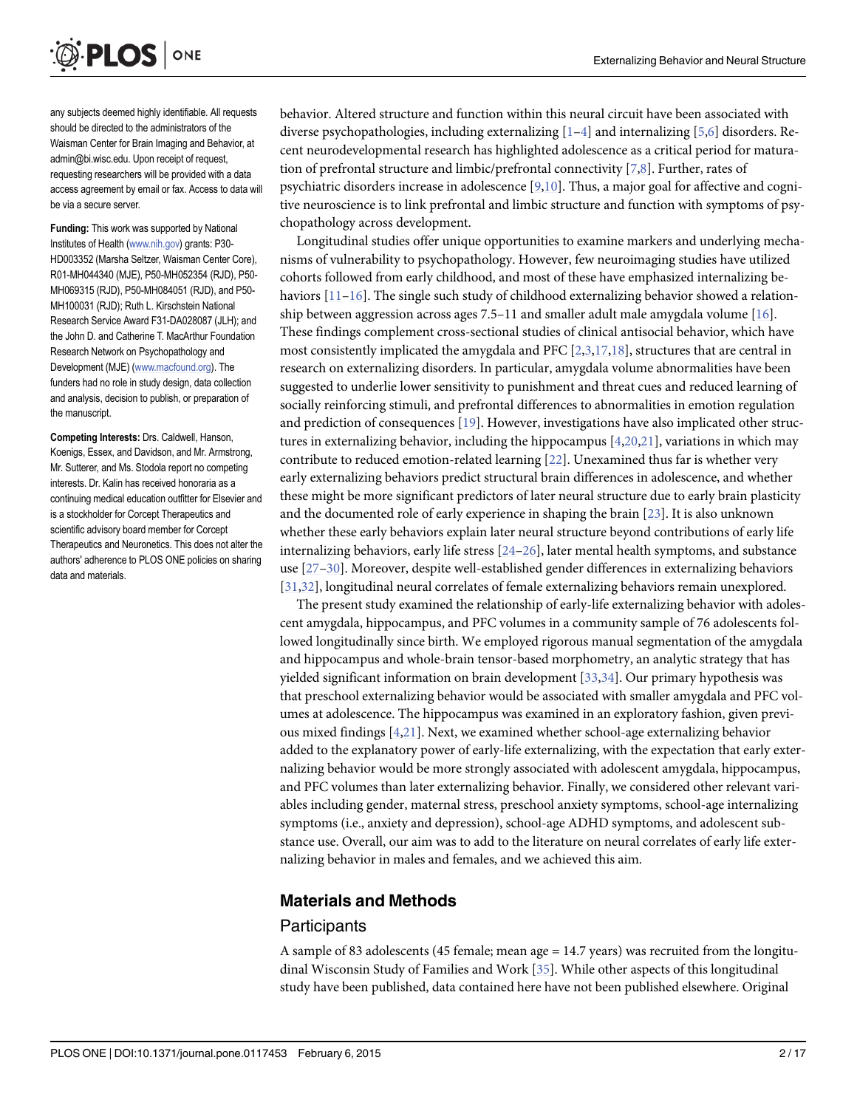<span id="page-1-0"></span>

any subjects deemed highly identifiable. All requests should be directed to the administrators of the Waisman Center for Brain Imaging and Behavior, at admin@bi.wisc.edu. Upon receipt of request, requesting researchers will be provided with a data access agreement by email or fax. Access to data will be via a secure server.

Funding: This work was supported by National Institutes of Health [\(www.nih.gov](http://www.nih.gov)) grants: P30- HD003352 (Marsha Seltzer, Waisman Center Core), R01-MH044340 (MJE), P50-MH052354 (RJD), P50- MH069315 (RJD), P50-MH084051 (RJD), and P50- MH100031 (RJD); Ruth L. Kirschstein National Research Service Award F31-DA028087 (JLH); and the John D. and Catherine T. MacArthur Foundation Research Network on Psychopathology and Development (MJE) [\(www.macfound.org\)](http://www.macfound.org). The funders had no role in study design, data collection and analysis, decision to publish, or preparation of the manuscript.

Competing Interests: Drs. Caldwell, Hanson, Koenigs, Essex, and Davidson, and Mr. Armstrong, Mr. Sutterer, and Ms. Stodola report no competing interests. Dr. Kalin has received honoraria as a continuing medical education outfitter for Elsevier and is a stockholder for Corcept Therapeutics and scientific advisory board member for Corcept Therapeutics and Neuronetics. This does not alter the authors' adherence to PLOS ONE policies on sharing data and materials.

behavior. Altered structure and function within this neural circuit have been associated with diverse psychopathologies, including externalizing  $[1-4]$  $[1-4]$  $[1-4]$  and internalizing  $[5,6]$  $[5,6]$  disorders. Recent neurodevelopmental research has highlighted adolescence as a critical period for maturation of prefrontal structure and limbic/prefrontal connectivity  $[7,8]$  $[7,8]$  $[7,8]$  $[7,8]$  $[7,8]$ . Further, rates of psychiatric disorders increase in adolescence [[9,10](#page-12-0)]. Thus, a major goal for affective and cognitive neuroscience is to link prefrontal and limbic structure and function with symptoms of psychopathology across development.

Longitudinal studies offer unique opportunities to examine markers and underlying mechanisms of vulnerability to psychopathology. However, few neuroimaging studies have utilized cohorts followed from early childhood, and most of these have emphasized internalizing behaviors  $[11–16]$  $[11–16]$  $[11–16]$  $[11–16]$  $[11–16]$ . The single such study of childhood externalizing behavior showed a relationship between aggression across ages  $7.5-11$  and smaller adult male amygdala volume  $[16]$ . These findings complement cross-sectional studies of clinical antisocial behavior, which have most consistently implicated the amygdala and PFC [[2,3,17,18](#page-12-0)], structures that are central in research on externalizing disorders. In particular, amygdala volume abnormalities have been suggested to underlie lower sensitivity to punishment and threat cues and reduced learning of socially reinforcing stimuli, and prefrontal differences to abnormalities in emotion regulation and prediction of consequences  $[19]$  $[19]$  $[19]$ . However, investigations have also implicated other structures in externalizing behavior, including the hippocampus [\[4](#page-12-0)[,20,21\]](#page-13-0), variations in which may contribute to reduced emotion-related learning [\[22\]](#page-13-0). Unexamined thus far is whether very early externalizing behaviors predict structural brain differences in adolescence, and whether these might be more significant predictors of later neural structure due to early brain plasticity and the documented role of early experience in shaping the brain [[23](#page-13-0)]. It is also unknown whether these early behaviors explain later neural structure beyond contributions of early life internalizing behaviors, early life stress [[24](#page-13-0)–[26](#page-13-0)], later mental health symptoms, and substance use [[27](#page-13-0)–[30\]](#page-13-0). Moreover, despite well-established gender differences in externalizing behaviors [\[31,32\]](#page-13-0), longitudinal neural correlates of female externalizing behaviors remain unexplored.

The present study examined the relationship of early-life externalizing behavior with adolescent amygdala, hippocampus, and PFC volumes in a community sample of 76 adolescents followed longitudinally since birth. We employed rigorous manual segmentation of the amygdala and hippocampus and whole-brain tensor-based morphometry, an analytic strategy that has yielded significant information on brain development [[33](#page-13-0),[34](#page-13-0)]. Our primary hypothesis was that preschool externalizing behavior would be associated with smaller amygdala and PFC volumes at adolescence. The hippocampus was examined in an exploratory fashion, given previous mixed findings  $[4,21]$  $[4,21]$ . Next, we examined whether school-age externalizing behavior added to the explanatory power of early-life externalizing, with the expectation that early externalizing behavior would be more strongly associated with adolescent amygdala, hippocampus, and PFC volumes than later externalizing behavior. Finally, we considered other relevant variables including gender, maternal stress, preschool anxiety symptoms, school-age internalizing symptoms (i.e., anxiety and depression), school-age ADHD symptoms, and adolescent substance use. Overall, our aim was to add to the literature on neural correlates of early life externalizing behavior in males and females, and we achieved this aim.

#### [Materials and Methods](#page-7-0)

#### **Participants**

A sample of 83 adolescents (45 female; mean age = 14.7 years) was recruited from the longitudinal Wisconsin Study of Families and Work [\[35\]](#page-13-0). While other aspects of this longitudinal study have been published, data contained here have not been published elsewhere. Original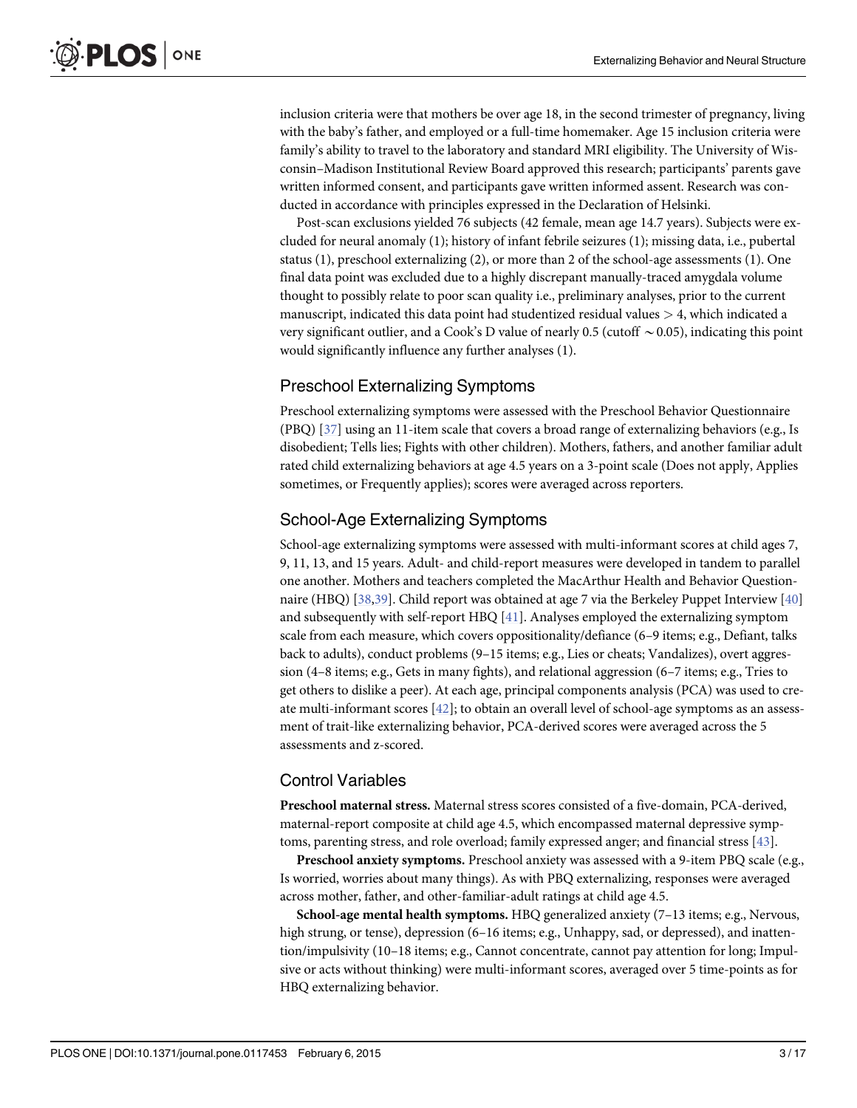<span id="page-2-0"></span>inclusion criteria were that mothers be over age 18, in the second trimester of pregnancy, living with the baby's father, and employed or a full-time homemaker. Age 15 inclusion criteria were family's ability to travel to the laboratory and standard MRI eligibility. The University of Wisconsin–Madison Institutional Review Board approved this research; participants' parents gave written informed consent, and participants gave written informed assent. Research was conducted in accordance with principles expressed in the Declaration of Helsinki.

Post-scan exclusions yielded 76 subjects (42 female, mean age 14.7 years). Subjects were excluded for neural anomaly (1); history of infant febrile seizures (1); missing data, i.e., pubertal status (1), preschool externalizing (2), or more than 2 of the school-age assessments (1). One final data point was excluded due to a highly discrepant manually-traced amygdala volume thought to possibly relate to poor scan quality i.e., preliminary analyses, prior to the current manuscript, indicated this data point had studentized residual values > 4, which indicated a very significant outlier, and a Cook's D value of nearly 0.5 (cutoff  $\sim$  0.05), indicating this point would significantly influence any further analyses (1).

#### Preschool Externalizing Symptoms

Preschool externalizing symptoms were assessed with the Preschool Behavior Questionnaire (PBQ)  $[37]$  $[37]$  using an 11-item scale that covers a broad range of externalizing behaviors (e.g., Is disobedient; Tells lies; Fights with other children). Mothers, fathers, and another familiar adult rated child externalizing behaviors at age 4.5 years on a 3-point scale (Does not apply, Applies sometimes, or Frequently applies); scores were averaged across reporters.

#### School-Age Externalizing Symptoms

School-age externalizing symptoms were assessed with multi-informant scores at child ages 7, 9, 11, 13, and 15 years. Adult- and child-report measures were developed in tandem to parallel one another. Mothers and teachers completed the MacArthur Health and Behavior Question-naire (HBQ) [[38](#page-13-0),[39](#page-13-0)]. Child report was obtained at age 7 via the Berkeley Puppet Interview [\[40\]](#page-14-0) and subsequently with self-report HBQ [\[41\]](#page-14-0). Analyses employed the externalizing symptom scale from each measure, which covers oppositionality/defiance (6–9 items; e.g., Defiant, talks back to adults), conduct problems (9–15 items; e.g., Lies or cheats; Vandalizes), overt aggression (4–8 items; e.g., Gets in many fights), and relational aggression (6–7 items; e.g., Tries to get others to dislike a peer). At each age, principal components analysis (PCA) was used to create multi-informant scores  $[42]$  $[42]$ ; to obtain an overall level of school-age symptoms as an assessment of trait-like externalizing behavior, PCA-derived scores were averaged across the 5 assessments and z-scored.

#### Control Variables

Preschool maternal stress. Maternal stress scores consisted of a five-domain, PCA-derived, maternal-report composite at child age 4.5, which encompassed maternal depressive symptoms, parenting stress, and role overload; family expressed anger; and financial stress [[43](#page-14-0)].

Preschool anxiety symptoms. Preschool anxiety was assessed with a 9-item PBQ scale (e.g., Is worried, worries about many things). As with PBQ externalizing, responses were averaged across mother, father, and other-familiar-adult ratings at child age 4.5.

School-age mental health symptoms. HBQ generalized anxiety (7–13 items; e.g., Nervous, high strung, or tense), depression (6–16 items; e.g., Unhappy, sad, or depressed), and inattention/impulsivity (10–18 items; e.g., Cannot concentrate, cannot pay attention for long; Impulsive or acts without thinking) were multi-informant scores, averaged over 5 time-points as for HBQ externalizing behavior.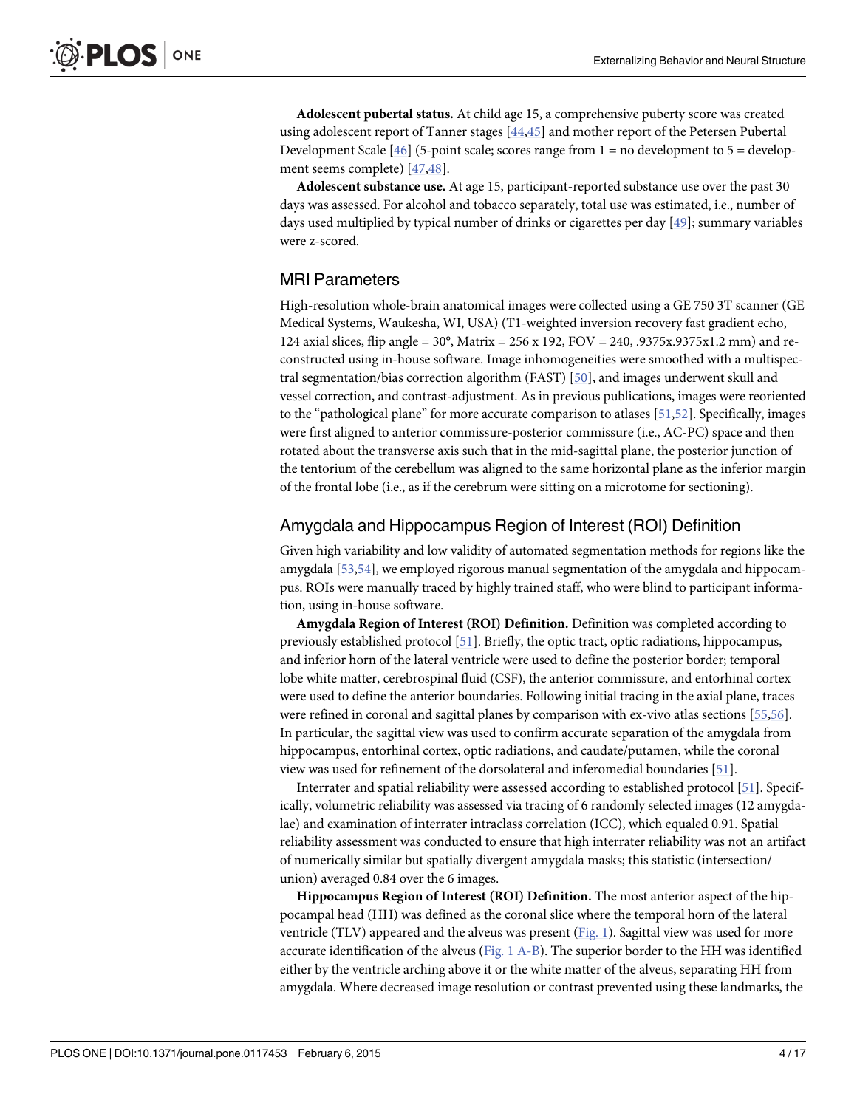<span id="page-3-0"></span>Adolescent pubertal status. At child age 15, a comprehensive puberty score was created using adolescent report of Tanner stages [\[44,45](#page-14-0)] and mother report of the Petersen Pubertal Development Scale  $[46]$  $[46]$  (5-point scale; scores range from 1 = no development to 5 = development seems complete) [\[47,48\]](#page-14-0).

Adolescent substance use. At age 15, participant-reported substance use over the past 30 days was assessed. For alcohol and tobacco separately, total use was estimated, i.e., number of days used multiplied by typical number of drinks or cigarettes per day [\[49](#page-14-0)]; summary variables were z-scored.

#### MRI Parameters

High-resolution whole-brain anatomical images were collected using a GE 750 3T scanner (GE Medical Systems, Waukesha, WI, USA) (T1-weighted inversion recovery fast gradient echo, 124 axial slices, flip angle = 30°, Matrix = 256 x 192, FOV = 240, .9375x.9375x1.2 mm) and reconstructed using in-house software. Image inhomogeneities were smoothed with a multispectral segmentation/bias correction algorithm (FAST)  $[50]$ , and images underwent skull and vessel correction, and contrast-adjustment. As in previous publications, images were reoriented to the "pathological plane" for more accurate comparison to atlases [\[51,52\]](#page-14-0). Specifically, images were first aligned to anterior commissure-posterior commissure (i.e., AC-PC) space and then rotated about the transverse axis such that in the mid-sagittal plane, the posterior junction of the tentorium of the cerebellum was aligned to the same horizontal plane as the inferior margin of the frontal lobe (i.e., as if the cerebrum were sitting on a microtome for sectioning).

#### Amygdala and Hippocampus Region of Interest (ROI) Definition

Given high variability and low validity of automated segmentation methods for regions like the amygdala [[53](#page-14-0),[54](#page-14-0)], we employed rigorous manual segmentation of the amygdala and hippocampus. ROIs were manually traced by highly trained staff, who were blind to participant information, using in-house software.

Amygdala Region of Interest (ROI) Definition. Definition was completed according to previously established protocol [\[51](#page-14-0)]. Briefly, the optic tract, optic radiations, hippocampus, and inferior horn of the lateral ventricle were used to define the posterior border; temporal lobe white matter, cerebrospinal fluid (CSF), the anterior commissure, and entorhinal cortex were used to define the anterior boundaries. Following initial tracing in the axial plane, traces were refined in coronal and sagittal planes by comparison with ex-vivo atlas sections [\[55,56](#page-14-0)]. In particular, the sagittal view was used to confirm accurate separation of the amygdala from hippocampus, entorhinal cortex, optic radiations, and caudate/putamen, while the coronal view was used for refinement of the dorsolateral and inferomedial boundaries [[51](#page-14-0)].

Interrater and spatial reliability were assessed according to established protocol [\[51\]](#page-14-0). Specifically, volumetric reliability was assessed via tracing of 6 randomly selected images (12 amygdalae) and examination of interrater intraclass correlation (ICC), which equaled 0.91. Spatial reliability assessment was conducted to ensure that high interrater reliability was not an artifact of numerically similar but spatially divergent amygdala masks; this statistic (intersection/ union) averaged 0.84 over the 6 images.

Hippocampus Region of Interest (ROI) Definition. The most anterior aspect of the hippocampal head (HH) was defined as the coronal slice where the temporal horn of the lateral ventricle (TLV) appeared and the alveus was present ( $Fig. 1$ ). Sagittal view was used for more accurate identification of the alveus ( $Fig. 1 A-B$ ). The superior border to the HH was identified either by the ventricle arching above it or the white matter of the alveus, separating HH from amygdala. Where decreased image resolution or contrast prevented using these landmarks, the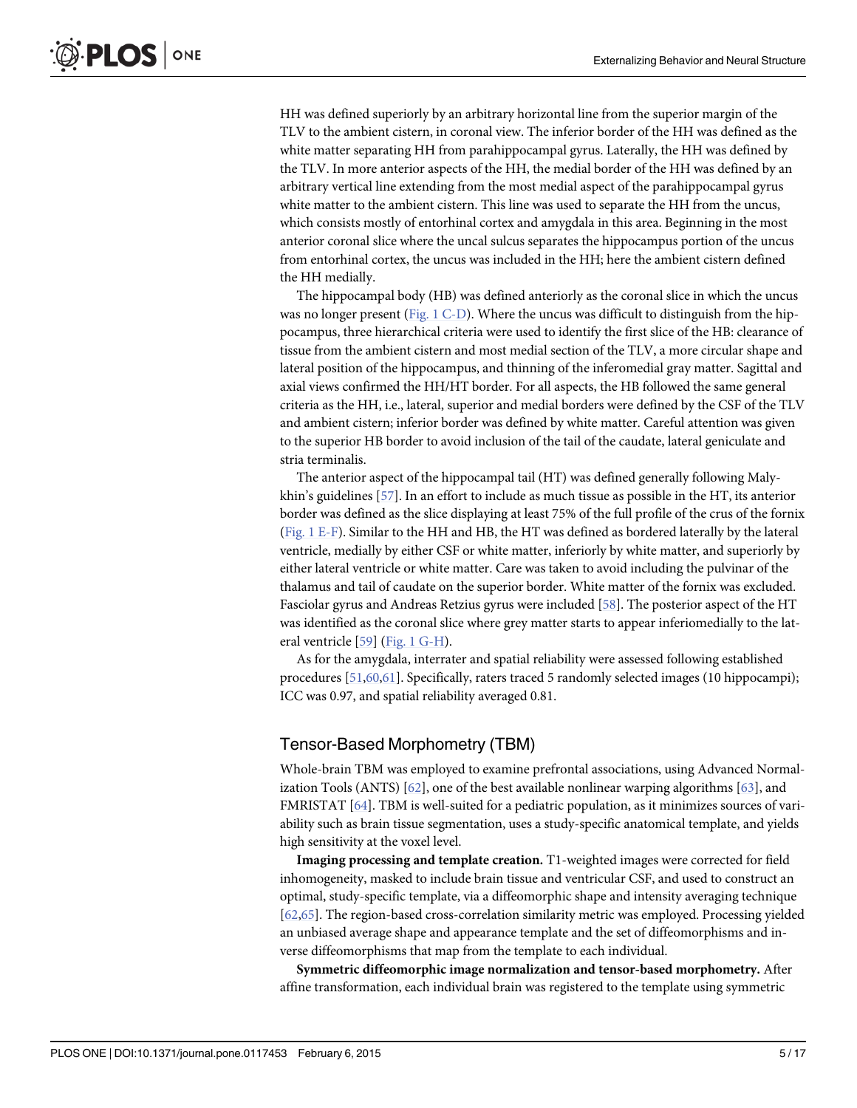<span id="page-4-0"></span>HH was defined superiorly by an arbitrary horizontal line from the superior margin of the TLV to the ambient cistern, in coronal view. The inferior border of the HH was defined as the white matter separating HH from parahippocampal gyrus. Laterally, the HH was defined by the TLV. In more anterior aspects of the HH, the medial border of the HH was defined by an arbitrary vertical line extending from the most medial aspect of the parahippocampal gyrus white matter to the ambient cistern. This line was used to separate the HH from the uncus, which consists mostly of entorhinal cortex and amygdala in this area. Beginning in the most anterior coronal slice where the uncal sulcus separates the hippocampus portion of the uncus from entorhinal cortex, the uncus was included in the HH; here the ambient cistern defined the HH medially.

The hippocampal body (HB) was defined anteriorly as the coronal slice in which the uncus was no longer present (Fig. 1  $C$ -D). Where the uncus was difficult to distinguish from the hippocampus, three hierarchical criteria were used to identify the first slice of the HB: clearance of tissue from the ambient cistern and most medial section of the TLV, a more circular shape and lateral position of the hippocampus, and thinning of the inferomedial gray matter. Sagittal and axial views confirmed the HH/HT border. For all aspects, the HB followed the same general criteria as the HH, i.e., lateral, superior and medial borders were defined by the CSF of the TLV and ambient cistern; inferior border was defined by white matter. Careful attention was given to the superior HB border to avoid inclusion of the tail of the caudate, lateral geniculate and stria terminalis.

The anterior aspect of the hippocampal tail (HT) was defined generally following Malykhin's guidelines [\[57\]](#page-14-0). In an effort to include as much tissue as possible in the HT, its anterior border was defined as the slice displaying at least 75% of the full profile of the crus of the fornix [\(Fig. 1 E-F\)](#page-5-0). Similar to the HH and HB, the HT was defined as bordered laterally by the lateral ventricle, medially by either CSF or white matter, inferiorly by white matter, and superiorly by either lateral ventricle or white matter. Care was taken to avoid including the pulvinar of the thalamus and tail of caudate on the superior border. White matter of the fornix was excluded. Fasciolar gyrus and Andreas Retzius gyrus were included [[58](#page-14-0)]. The posterior aspect of the HT was identified as the coronal slice where grey matter starts to appear inferiomedially to the lateral ventricle [[59](#page-14-0)] ([Fig. 1 G-H\)](#page-5-0).

As for the amygdala, interrater and spatial reliability were assessed following established procedures [[51](#page-14-0),[60,61\]](#page-15-0). Specifically, raters traced 5 randomly selected images (10 hippocampi); ICC was 0.97, and spatial reliability averaged 0.81.

#### Tensor-Based Morphometry (TBM)

Whole-brain TBM was employed to examine prefrontal associations, using Advanced Normal-ization Tools (ANTS) [[62](#page-15-0)], one of the best available nonlinear warping algorithms [[63](#page-15-0)], and FMRISTAT [\[64\]](#page-15-0). TBM is well-suited for a pediatric population, as it minimizes sources of variability such as brain tissue segmentation, uses a study-specific anatomical template, and yields high sensitivity at the voxel level.

Imaging processing and template creation. T1-weighted images were corrected for field inhomogeneity, masked to include brain tissue and ventricular CSF, and used to construct an optimal, study-specific template, via a diffeomorphic shape and intensity averaging technique [\[62,65\]](#page-15-0). The region-based cross-correlation similarity metric was employed. Processing yielded an unbiased average shape and appearance template and the set of diffeomorphisms and inverse diffeomorphisms that map from the template to each individual.

Symmetric diffeomorphic image normalization and tensor-based morphometry. After affine transformation, each individual brain was registered to the template using symmetric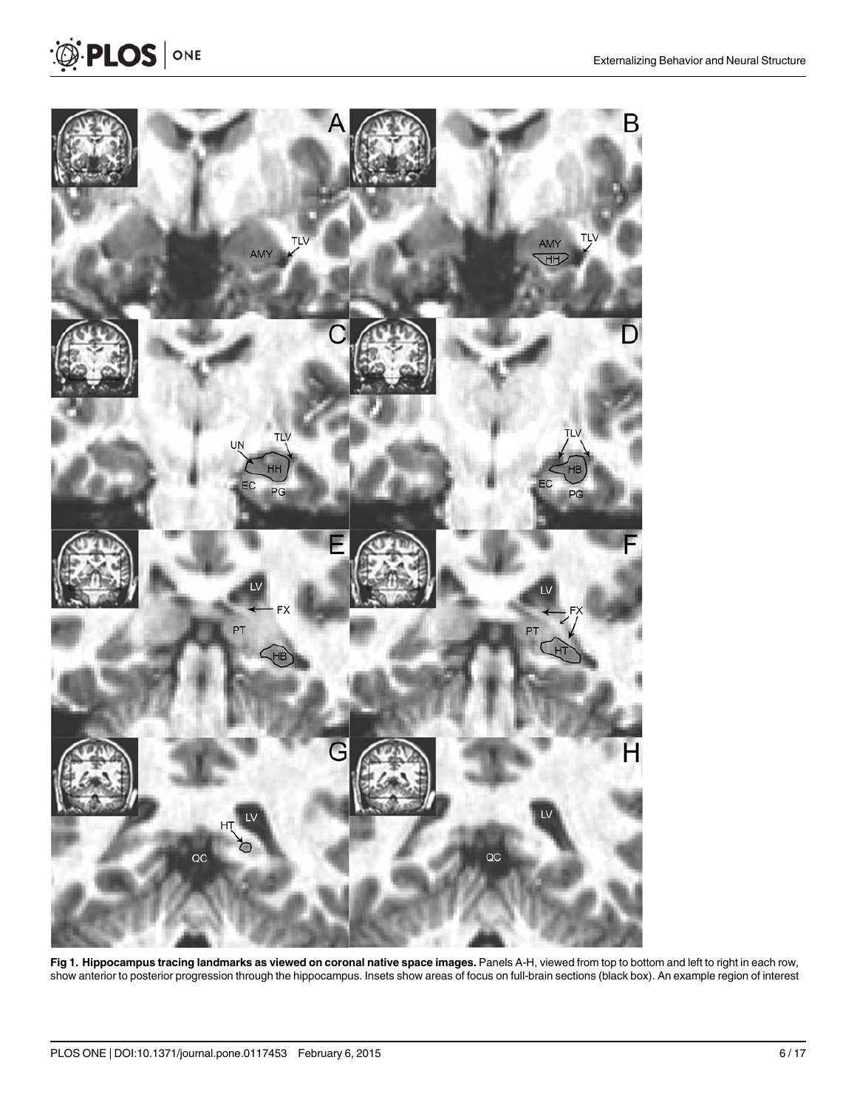

[Fig 1. H](#page-3-0)ippocampus tracing landmarks as viewed on coronal native space images. Panels A-H, viewed from top to bottom and left to right in each row, show anterior to posterior progression through the hippocampus. Insets show areas of focus on full-brain sections (black box). An example region of interest

<span id="page-5-0"></span><sup>2</sup> PLOS | ONE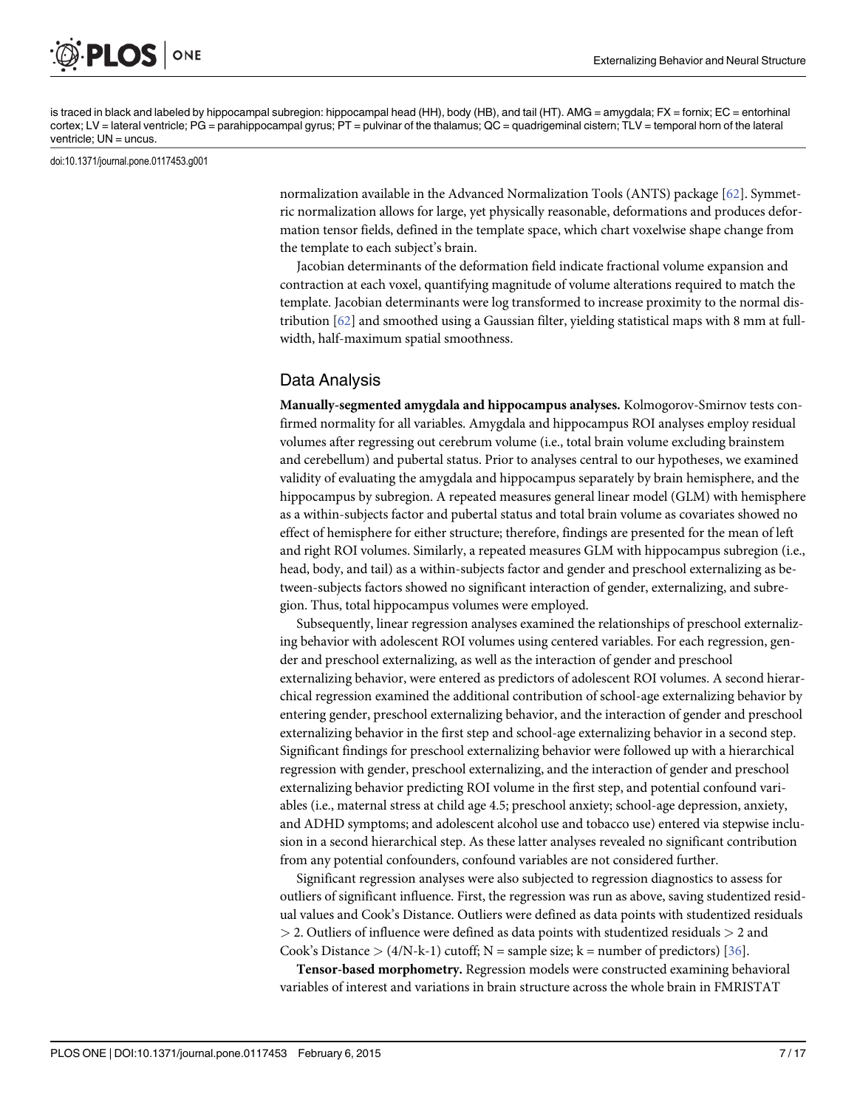<span id="page-6-0"></span>

is traced in black and labeled by hippocampal subregion: hippocampal head (HH), body (HB), and tail (HT). AMG = amygdala; FX = fornix; EC = entorhinal cortex; LV = lateral ventricle; PG = parahippocampal gyrus; PT = pulvinar of the thalamus; QC = quadrigeminal cistern; TLV = temporal horn of the lateral ventricle; UN = uncus.

doi:10.1371/journal.pone.0117453.g001

normalization available in the Advanced Normalization Tools (ANTS) package [\[62\]](#page-15-0). Symmetric normalization allows for large, yet physically reasonable, deformations and produces deformation tensor fields, defined in the template space, which chart voxelwise shape change from the template to each subject's brain.

Jacobian determinants of the deformation field indicate fractional volume expansion and contraction at each voxel, quantifying magnitude of volume alterations required to match the template. Jacobian determinants were log transformed to increase proximity to the normal distribution [\[62\]](#page-15-0) and smoothed using a Gaussian filter, yielding statistical maps with 8 mm at fullwidth, half-maximum spatial smoothness.

#### Data Analysis

Manually-segmented amygdala and hippocampus analyses. Kolmogorov-Smirnov tests confirmed normality for all variables. Amygdala and hippocampus ROI analyses employ residual volumes after regressing out cerebrum volume (i.e., total brain volume excluding brainstem and cerebellum) and pubertal status. Prior to analyses central to our hypotheses, we examined validity of evaluating the amygdala and hippocampus separately by brain hemisphere, and the hippocampus by subregion. A repeated measures general linear model (GLM) with hemisphere as a within-subjects factor and pubertal status and total brain volume as covariates showed no effect of hemisphere for either structure; therefore, findings are presented for the mean of left and right ROI volumes. Similarly, a repeated measures GLM with hippocampus subregion (i.e., head, body, and tail) as a within-subjects factor and gender and preschool externalizing as between-subjects factors showed no significant interaction of gender, externalizing, and subregion. Thus, total hippocampus volumes were employed.

Subsequently, linear regression analyses examined the relationships of preschool externalizing behavior with adolescent ROI volumes using centered variables. For each regression, gender and preschool externalizing, as well as the interaction of gender and preschool externalizing behavior, were entered as predictors of adolescent ROI volumes. A second hierarchical regression examined the additional contribution of school-age externalizing behavior by entering gender, preschool externalizing behavior, and the interaction of gender and preschool externalizing behavior in the first step and school-age externalizing behavior in a second step. Significant findings for preschool externalizing behavior were followed up with a hierarchical regression with gender, preschool externalizing, and the interaction of gender and preschool externalizing behavior predicting ROI volume in the first step, and potential confound variables (i.e., maternal stress at child age 4.5; preschool anxiety; school-age depression, anxiety, and ADHD symptoms; and adolescent alcohol use and tobacco use) entered via stepwise inclusion in a second hierarchical step. As these latter analyses revealed no significant contribution from any potential confounders, confound variables are not considered further.

Significant regression analyses were also subjected to regression diagnostics to assess for outliers of significant influence. First, the regression was run as above, saving studentized residual values and Cook's Distance. Outliers were defined as data points with studentized residuals  $>$  2. Outliers of influence were defined as data points with studentized residuals  $>$  2 and Cook's Distance  $>(4/N-k-1)$  cutoff; N = sample size; k = number of predictors) [\[36](#page-13-0)].

Tensor-based morphometry. Regression models were constructed examining behavioral variables of interest and variations in brain structure across the whole brain in FMRISTAT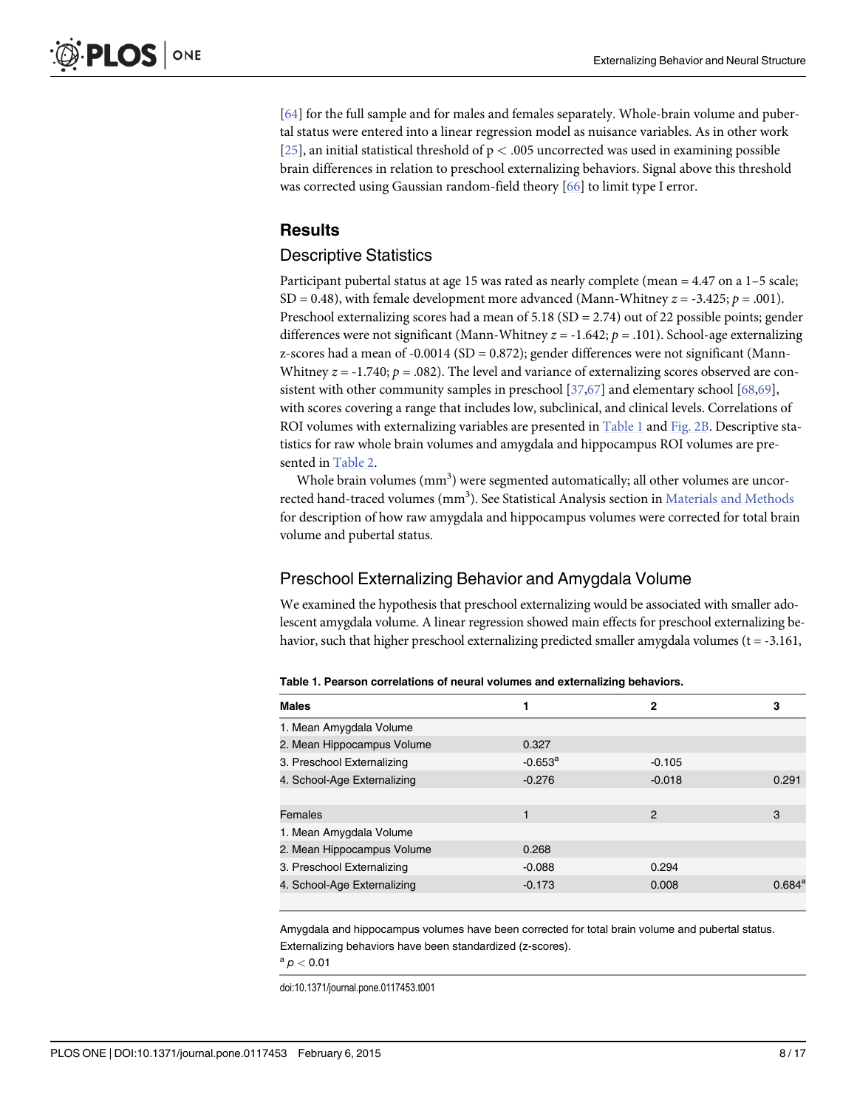<span id="page-7-0"></span>[\[64](#page-15-0)] for the full sample and for males and females separately. Whole-brain volume and pubertal status were entered into a linear regression model as nuisance variables. As in other work [ $25$ ], an initial statistical threshold of  $p < .005$  uncorrected was used in examining possible brain differences in relation to preschool externalizing behaviors. Signal above this threshold was corrected using Gaussian random-field theory [\[66\]](#page-15-0) to limit type I error.

### **Results**

#### Descriptive Statistics

Participant pubertal status at age 15 was rated as nearly complete (mean = 4.47 on a 1–5 scale; SD = 0.48), with female development more advanced (Mann-Whitney  $z = -3.425$ ;  $p = .001$ ). Preschool externalizing scores had a mean of 5.18 (SD = 2.74) out of 22 possible points; gender differences were not significant (Mann-Whitney  $z = -1.642$ ;  $p = .101$ ). School-age externalizing z-scores had a mean of -0.0014 (SD = 0.872); gender differences were not significant (Mann-Whitney  $z = -1.740$ ;  $p = .082$ ). The level and variance of externalizing scores observed are consistent with other community samples in preschool [[37,](#page-13-0)[67](#page-15-0)] and elementary school [[68](#page-15-0),[69](#page-15-0)], with scores covering a range that includes low, subclinical, and clinical levels. Correlations of ROI volumes with externalizing variables are presented in Table 1 and [Fig. 2B.](#page-8-0) Descriptive statistics for raw whole brain volumes and amygdala and hippocampus ROI volumes are presented in [Table 2](#page-8-0).

Whole brain volumes  $\text{(mm)}^3$ ) were segmented automatically; all other volumes are uncorrected hand-traced volumes  $\text{(mm}^3)$ . See Statistical Analysis section in  $\text{Materials}$  and  $\text{Methods}$ for description of how raw amygdala and hippocampus volumes were corrected for total brain volume and pubertal status.

#### Preschool Externalizing Behavior and Amygdala Volume

We examined the hypothesis that preschool externalizing would be associated with smaller adolescent amygdala volume. A linear regression showed main effects for preschool externalizing behavior, such that higher preschool externalizing predicted smaller amygdala volumes  $(t = -3.161,$ 

| <b>Males</b>                |                       | 2        | 3               |
|-----------------------------|-----------------------|----------|-----------------|
| 1. Mean Amygdala Volume     |                       |          |                 |
| 2. Mean Hippocampus Volume  | 0.327                 |          |                 |
| 3. Preschool Externalizing  | $-0.653^{\mathrm{a}}$ | $-0.105$ |                 |
| 4. School-Age Externalizing | $-0.276$              | $-0.018$ | 0.291           |
|                             |                       |          |                 |
| Females                     |                       | 2        | 3               |
| 1. Mean Amygdala Volume     |                       |          |                 |
| 2. Mean Hippocampus Volume  | 0.268                 |          |                 |
| 3. Preschool Externalizing  | $-0.088$              | 0.294    |                 |
| 4. School-Age Externalizing | $-0.173$              | 0.008    | $0.684^{\rm a}$ |

Amygdala and hippocampus volumes have been corrected for total brain volume and pubertal status. Externalizing behaviors have been standardized (z-scores).

 $a$   $p < 0.01$ 

doi:10.1371/journal.pone.0117453.t001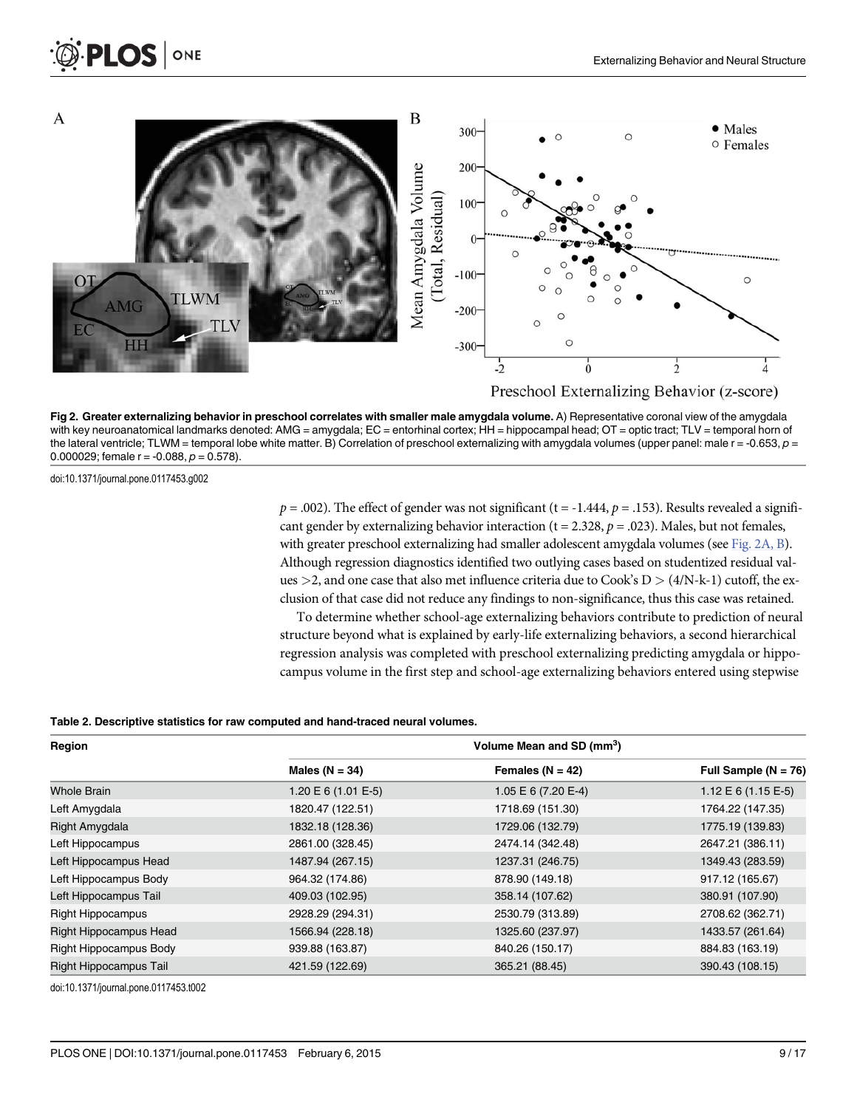<span id="page-8-0"></span>

[Fig 2. G](#page-7-0)reater externalizing behavior in preschool correlates with smaller male amygdala volume. A) Representative coronal view of the amygdala with key neuroanatomical landmarks denoted: AMG = amygdala; EC = entorhinal cortex; HH = hippocampal head; OT = optic tract; TLV = temporal horn of the lateral ventricle; TLWM = temporal lobe white matter. B) Correlation of preschool externalizing with amygdala volumes (upper panel: male  $r = -0.653$ ,  $p =$ 0.000029; female  $r = -0.088$ ,  $p = 0.578$ ).

doi:10.1371/journal.pone.0117453.g002

 $p = .002$ ). The effect of gender was not significant (t = -1.444,  $p = .153$ ). Results revealed a significant gender by externalizing behavior interaction ( $t = 2.328$ ,  $p = .023$ ). Males, but not females, with greater preschool externalizing had smaller adolescent amygdala volumes (see Fig. 2A, B). Although regression diagnostics identified two outlying cases based on studentized residual values  $>$ 2, and one case that also met influence criteria due to Cook's D  $>$  (4/N-k-1) cutoff, the exclusion of that case did not reduce any findings to non-significance, thus this case was retained.

To determine whether school-age externalizing behaviors contribute to prediction of neural structure beyond what is explained by early-life externalizing behaviors, a second hierarchical regression analysis was completed with preschool externalizing predicting amygdala or hippocampus volume in the first step and school-age externalizing behaviors entered using stepwise

#### [Table 2.](#page-7-0) Descriptive statistics for raw computed and hand-traced neural volumes.

| Region                   | Volume Mean and SD (mm <sup>3</sup> ) |                      |                           |  |
|--------------------------|---------------------------------------|----------------------|---------------------------|--|
|                          | Males ( $N = 34$ )                    | Females ( $N = 42$ ) | Full Sample ( $N = 76$ )  |  |
| <b>Whole Brain</b>       | $1.20 \to 6 (1.01 \to -5)$            | 1.05 E 6 (7.20 E-4)  | $1.12 \to 6 (1.15 \to 5)$ |  |
| Left Amygdala            | 1820.47 (122.51)                      | 1718.69 (151.30)     | 1764.22 (147.35)          |  |
| Right Amygdala           | 1832.18 (128.36)                      | 1729.06 (132.79)     | 1775.19 (139.83)          |  |
| Left Hippocampus         | 2861.00 (328.45)                      | 2474.14 (342.48)     | 2647.21 (386.11)          |  |
| Left Hippocampus Head    | 1487.94 (267.15)                      | 1237.31 (246.75)     | 1349.43 (283.59)          |  |
| Left Hippocampus Body    | 964.32 (174.86)                       | 878.90 (149.18)      | 917.12 (165.67)           |  |
| Left Hippocampus Tail    | 409.03 (102.95)                       | 358.14 (107.62)      | 380.91 (107.90)           |  |
| <b>Right Hippocampus</b> | 2928.29 (294.31)                      | 2530.79 (313.89)     | 2708.62 (362.71)          |  |
| Right Hippocampus Head   | 1566.94 (228.18)                      | 1325.60 (237.97)     | 1433.57 (261.64)          |  |
| Right Hippocampus Body   | 939.88 (163.87)                       | 840.26 (150.17)      | 884.83 (163.19)           |  |
| Right Hippocampus Tail   | 421.59 (122.69)                       | 365.21 (88.45)       | 390.43 (108.15)           |  |

doi:10.1371/journal.pone.0117453.t002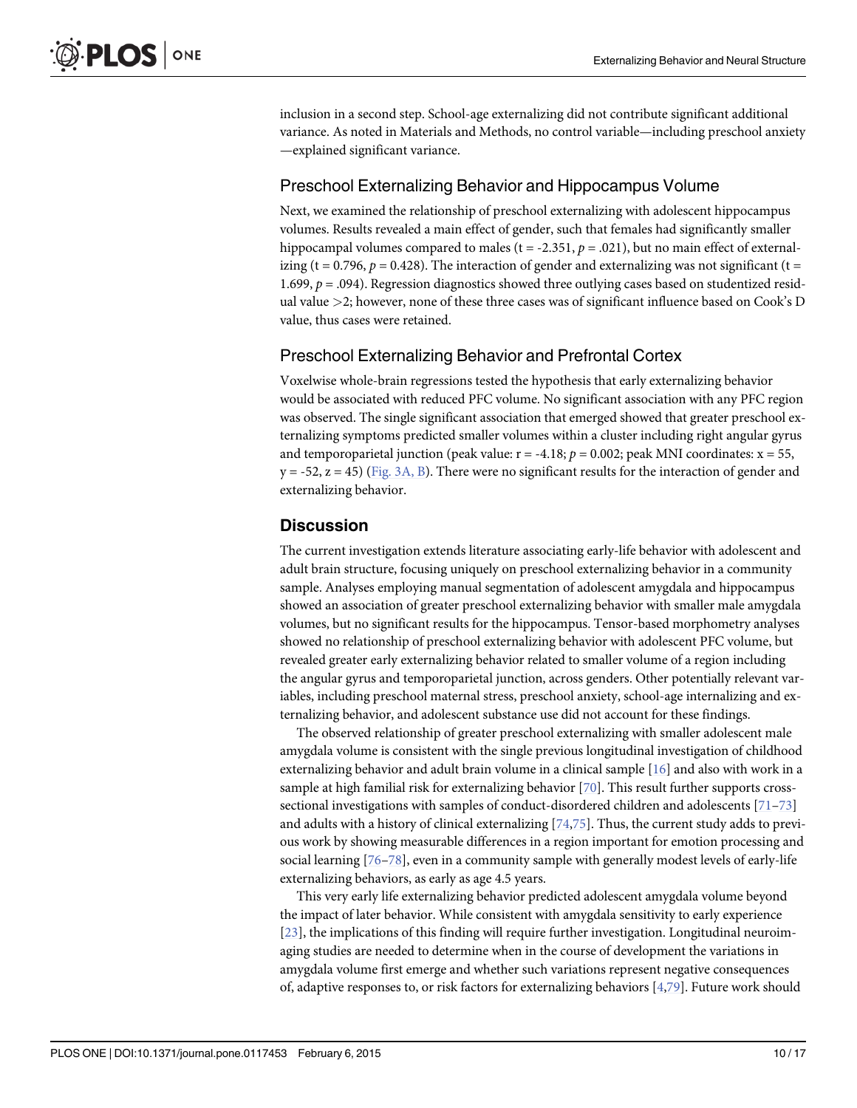<span id="page-9-0"></span>inclusion in a second step. School-age externalizing did not contribute significant additional variance. As noted in Materials and Methods, no control variable—including preschool anxiety —explained significant variance.

#### Preschool Externalizing Behavior and Hippocampus Volume

Next, we examined the relationship of preschool externalizing with adolescent hippocampus volumes. Results revealed a main effect of gender, such that females had significantly smaller hippocampal volumes compared to males (t = -2.351,  $p = .021$ ), but no main effect of externalizing (t = 0.796,  $p = 0.428$ ). The interaction of gender and externalizing was not significant (t = 1.699,  $p = .094$ ). Regression diagnostics showed three outlying cases based on studentized residual value >2; however, none of these three cases was of significant influence based on Cook's D value, thus cases were retained.

#### Preschool Externalizing Behavior and Prefrontal Cortex

Voxelwise whole-brain regressions tested the hypothesis that early externalizing behavior would be associated with reduced PFC volume. No significant association with any PFC region was observed. The single significant association that emerged showed that greater preschool externalizing symptoms predicted smaller volumes within a cluster including right angular gyrus and temporoparietal junction (peak value:  $r = -4.18$ ;  $p = 0.002$ ; peak MNI coordinates:  $x = 55$ ,  $y = -52$ ,  $z = 45$ ) [\(Fig. 3A, B\)](#page-10-0). There were no significant results for the interaction of gender and externalizing behavior.

#### **Discussion**

The current investigation extends literature associating early-life behavior with adolescent and adult brain structure, focusing uniquely on preschool externalizing behavior in a community sample. Analyses employing manual segmentation of adolescent amygdala and hippocampus showed an association of greater preschool externalizing behavior with smaller male amygdala volumes, but no significant results for the hippocampus. Tensor-based morphometry analyses showed no relationship of preschool externalizing behavior with adolescent PFC volume, but revealed greater early externalizing behavior related to smaller volume of a region including the angular gyrus and temporoparietal junction, across genders. Other potentially relevant variables, including preschool maternal stress, preschool anxiety, school-age internalizing and externalizing behavior, and adolescent substance use did not account for these findings.

The observed relationship of greater preschool externalizing with smaller adolescent male amygdala volume is consistent with the single previous longitudinal investigation of childhood externalizing behavior and adult brain volume in a clinical sample [\[16\]](#page-12-0) and also with work in a sample at high familial risk for externalizing behavior [[70](#page-15-0)]. This result further supports cross-sectional investigations with samples of conduct-disordered children and adolescents [[71](#page-15-0)–[73](#page-15-0)] and adults with a history of clinical externalizing  $[74,75]$ . Thus, the current study adds to previous work by showing measurable differences in a region important for emotion processing and social learning [[76](#page-15-0)–[78](#page-15-0)], even in a community sample with generally modest levels of early-life externalizing behaviors, as early as age 4.5 years.

This very early life externalizing behavior predicted adolescent amygdala volume beyond the impact of later behavior. While consistent with amygdala sensitivity to early experience [\[23](#page-13-0)], the implications of this finding will require further investigation. Longitudinal neuroimaging studies are needed to determine when in the course of development the variations in amygdala volume first emerge and whether such variations represent negative consequences of, adaptive responses to, or risk factors for externalizing behaviors [[4](#page-12-0),[79](#page-15-0)]. Future work should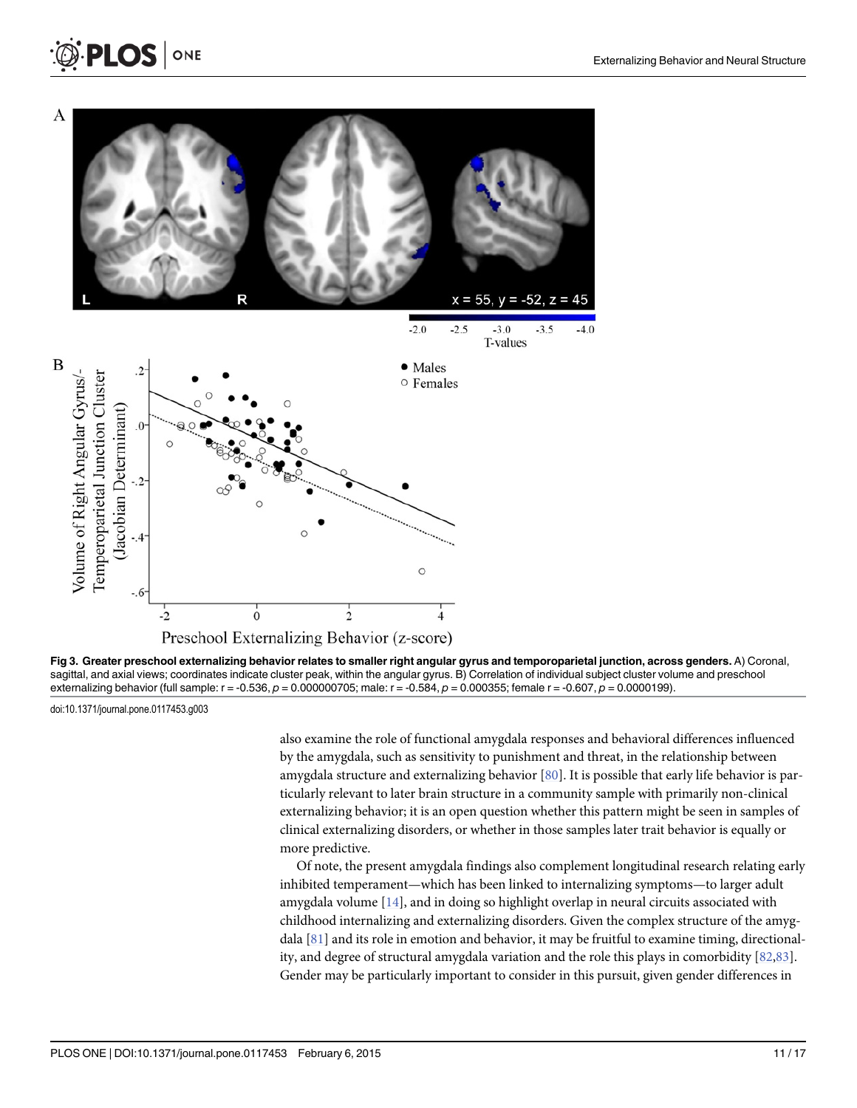

[Fig 3. G](#page-9-0)reater preschool externalizing behavior relates to smaller right angular gyrus and temporoparietal junction, across genders. A) Coronal, sagittal, and axial views; coordinates indicate cluster peak, within the angular gyrus. B) Correlation of individual subject cluster volume and preschool externalizing behavior (full sample:  $r = -0.536$ ,  $p = 0.000000705$ ; male:  $r = -0.584$ ,  $p = 0.000355$ ; female  $r = -0.607$ ,  $p = 0.0000199$ ).

doi:10.1371/journal.pone.0117453.g003

<span id="page-10-0"></span>**PLOS I** 

ONE

also examine the role of functional amygdala responses and behavioral differences influenced by the amygdala, such as sensitivity to punishment and threat, in the relationship between amygdala structure and externalizing behavior [\[80](#page-15-0)]. It is possible that early life behavior is particularly relevant to later brain structure in a community sample with primarily non-clinical externalizing behavior; it is an open question whether this pattern might be seen in samples of clinical externalizing disorders, or whether in those samples later trait behavior is equally or more predictive.

Of note, the present amygdala findings also complement longitudinal research relating early inhibited temperament—which has been linked to internalizing symptoms—to larger adult amygdala volume  $[14]$  $[14]$  $[14]$ , and in doing so highlight overlap in neural circuits associated with childhood internalizing and externalizing disorders. Given the complex structure of the amygdala [\[81\]](#page-16-0) and its role in emotion and behavior, it may be fruitful to examine timing, directionality, and degree of structural amygdala variation and the role this plays in comorbidity [[82,83](#page-16-0)]. Gender may be particularly important to consider in this pursuit, given gender differences in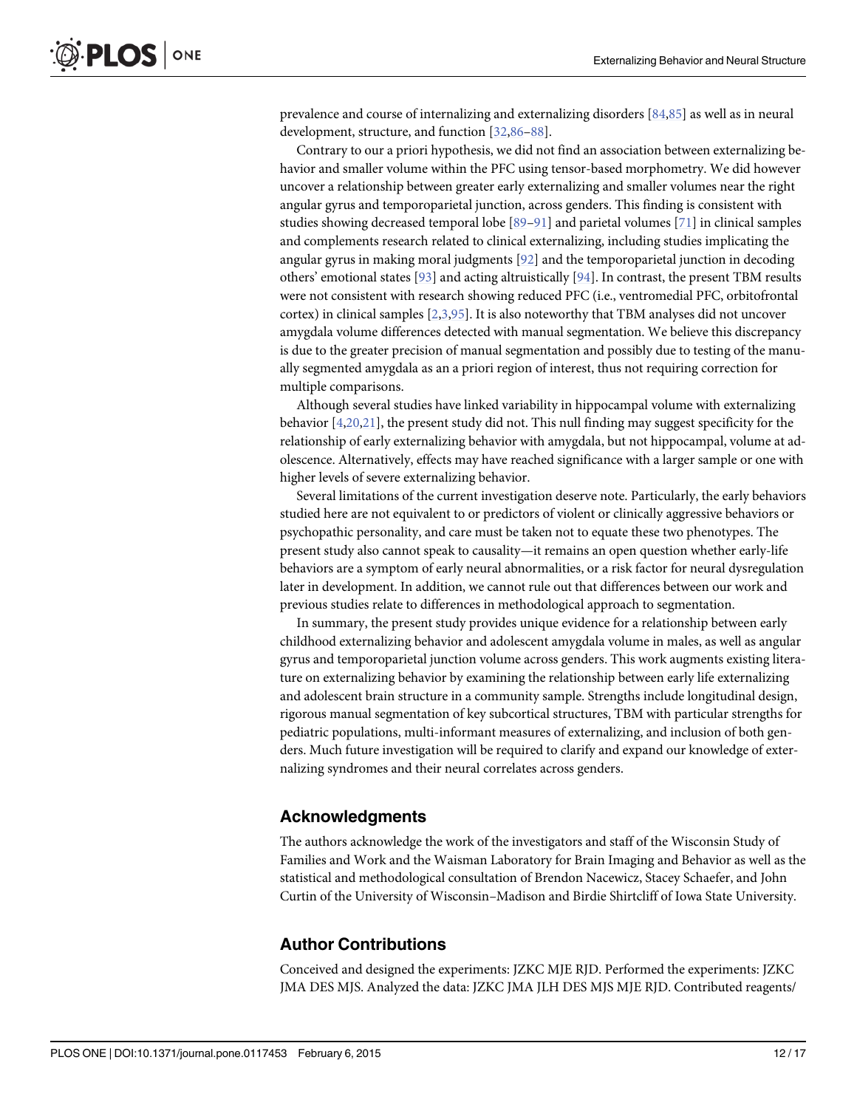<span id="page-11-0"></span>prevalence and course of internalizing and externalizing disorders [\[84,85](#page-16-0)] as well as in neural development, structure, and function [[32](#page-13-0),[86](#page-16-0)–[88\]](#page-16-0).

Contrary to our a priori hypothesis, we did not find an association between externalizing behavior and smaller volume within the PFC using tensor-based morphometry. We did however uncover a relationship between greater early externalizing and smaller volumes near the right angular gyrus and temporoparietal junction, across genders. This finding is consistent with studies showing decreased temporal lobe  $[89-91]$  $[89-91]$  $[89-91]$  $[89-91]$  $[89-91]$  and parietal volumes  $[71]$  in clinical samples and complements research related to clinical externalizing, including studies implicating the angular gyrus in making moral judgments  $[92]$  and the temporoparietal junction in decoding others' emotional states [\[93\]](#page-16-0) and acting altruistically [\[94](#page-16-0)]. In contrast, the present TBM results were not consistent with research showing reduced PFC (i.e., ventromedial PFC, orbitofrontal cortex) in clinical samples  $[2,3,95]$  $[2,3,95]$  $[2,3,95]$ . It is also noteworthy that TBM analyses did not uncover amygdala volume differences detected with manual segmentation. We believe this discrepancy is due to the greater precision of manual segmentation and possibly due to testing of the manually segmented amygdala as an a priori region of interest, thus not requiring correction for multiple comparisons.

Although several studies have linked variability in hippocampal volume with externalizing behavior  $[4,20,21]$  $[4,20,21]$ , the present study did not. This null finding may suggest specificity for the relationship of early externalizing behavior with amygdala, but not hippocampal, volume at adolescence. Alternatively, effects may have reached significance with a larger sample or one with higher levels of severe externalizing behavior.

Several limitations of the current investigation deserve note. Particularly, the early behaviors studied here are not equivalent to or predictors of violent or clinically aggressive behaviors or psychopathic personality, and care must be taken not to equate these two phenotypes. The present study also cannot speak to causality—it remains an open question whether early-life behaviors are a symptom of early neural abnormalities, or a risk factor for neural dysregulation later in development. In addition, we cannot rule out that differences between our work and previous studies relate to differences in methodological approach to segmentation.

In summary, the present study provides unique evidence for a relationship between early childhood externalizing behavior and adolescent amygdala volume in males, as well as angular gyrus and temporoparietal junction volume across genders. This work augments existing literature on externalizing behavior by examining the relationship between early life externalizing and adolescent brain structure in a community sample. Strengths include longitudinal design, rigorous manual segmentation of key subcortical structures, TBM with particular strengths for pediatric populations, multi-informant measures of externalizing, and inclusion of both genders. Much future investigation will be required to clarify and expand our knowledge of externalizing syndromes and their neural correlates across genders.

#### Acknowledgments

The authors acknowledge the work of the investigators and staff of the Wisconsin Study of Families and Work and the Waisman Laboratory for Brain Imaging and Behavior as well as the statistical and methodological consultation of Brendon Nacewicz, Stacey Schaefer, and John Curtin of the University of Wisconsin–Madison and Birdie Shirtcliff of Iowa State University.

#### Author Contributions

Conceived and designed the experiments: JZKC MJE RJD. Performed the experiments: JZKC JMA DES MJS. Analyzed the data: JZKC JMA JLH DES MJS MJE RJD. Contributed reagents/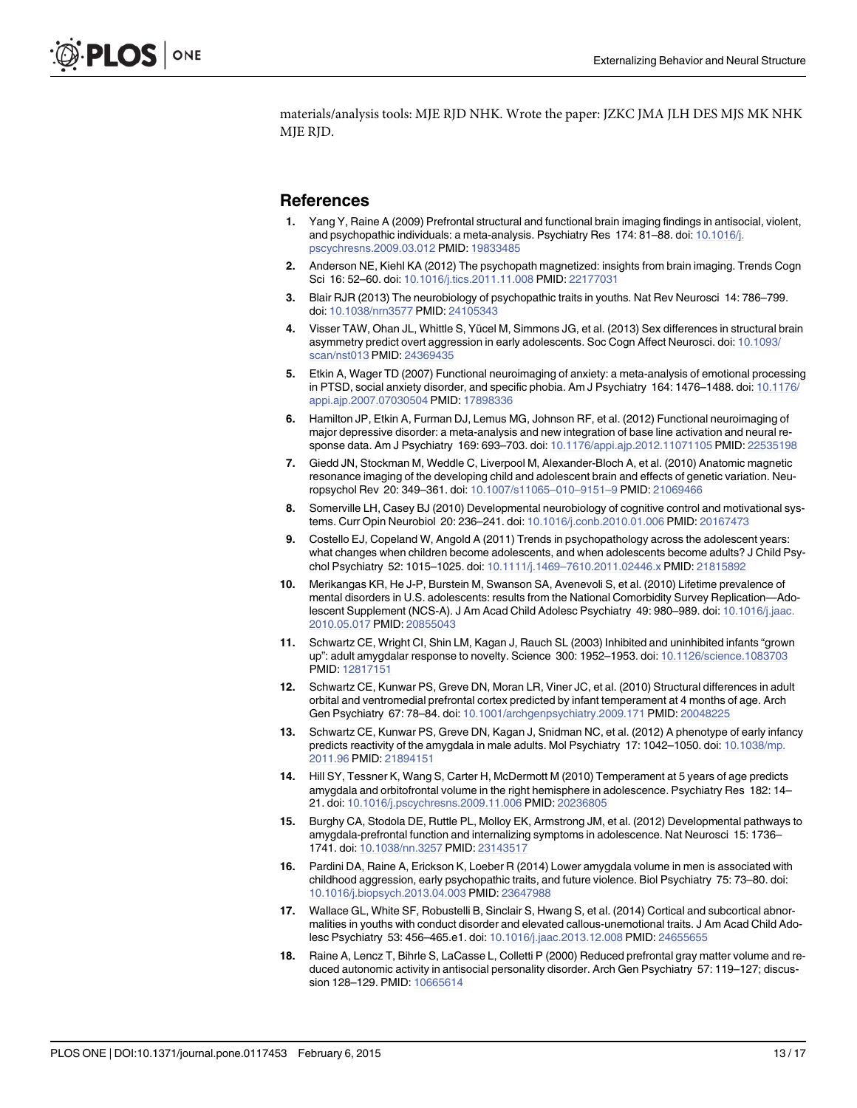<span id="page-12-0"></span>materials/analysis tools: MJE RJD NHK. Wrote the paper: JZKC JMA JLH DES MJS MK NHK MJE RJD.

#### **References**

- [1.](#page-1-0) Yang Y, Raine A (2009) Prefrontal structural and functional brain imaging findings in antisocial, violent, and psychopathic individuals: a meta-analysis. Psychiatry Res 174: 81–88. doi: [10.1016/j.](http://dx.doi.org/10.1016/j.pscychresns.2009.03.012) [pscychresns.2009.03.012](http://dx.doi.org/10.1016/j.pscychresns.2009.03.012) PMID: [19833485](http://www.ncbi.nlm.nih.gov/pubmed/19833485)
- [2.](#page-1-0) Anderson NE, Kiehl KA (2012) The psychopath magnetized: insights from brain imaging. Trends Cogn Sci 16: 52–60. doi: [10.1016/j.tics.2011.11.008](http://dx.doi.org/10.1016/j.tics.2011.11.008) PMID: [22177031](http://www.ncbi.nlm.nih.gov/pubmed/22177031)
- [3.](#page-1-0) Blair RJR (2013) The neurobiology of psychopathic traits in youths. Nat Rev Neurosci 14: 786–799. doi: [10.1038/nrn3577](http://dx.doi.org/10.1038/nrn3577) PMID: [24105343](http://www.ncbi.nlm.nih.gov/pubmed/24105343)
- [4.](#page-1-0) Visser TAW, Ohan JL, Whittle S, Yücel M, Simmons JG, et al. (2013) Sex differences in structural brain asymmetry predict overt aggression in early adolescents. Soc Cogn Affect Neurosci. doi: [10.1093/](http://dx.doi.org/10.1093/scan/nst013) [scan/nst013](http://dx.doi.org/10.1093/scan/nst013) PMID: [24369435](http://www.ncbi.nlm.nih.gov/pubmed/24369435)
- [5.](#page-1-0) Etkin A, Wager TD (2007) Functional neuroimaging of anxiety: a meta-analysis of emotional processing in PTSD, social anxiety disorder, and specific phobia. Am J Psychiatry 164: 1476–1488. doi: [10.1176/](http://dx.doi.org/10.1176/appi.ajp.2007.07030504) [appi.ajp.2007.07030504](http://dx.doi.org/10.1176/appi.ajp.2007.07030504) PMID: [17898336](http://www.ncbi.nlm.nih.gov/pubmed/17898336)
- [6.](#page-1-0) Hamilton JP, Etkin A, Furman DJ, Lemus MG, Johnson RF, et al. (2012) Functional neuroimaging of major depressive disorder: a meta-analysis and new integration of base line activation and neural response data. Am J Psychiatry 169: 693–703. doi: [10.1176/appi.ajp.2012.11071105](http://dx.doi.org/10.1176/appi.ajp.2012.11071105) PMID: [22535198](http://www.ncbi.nlm.nih.gov/pubmed/22535198)
- [7.](#page-1-0) Giedd JN, Stockman M, Weddle C, Liverpool M, Alexander-Bloch A, et al. (2010) Anatomic magnetic resonance imaging of the developing child and adolescent brain and effects of genetic variation. Neuropsychol Rev 20: 349–361. doi: [10.1007/s11065](http://dx.doi.org/10.1007/s11065–010–9151–9)–010–9151–9 PMID: [21069466](http://www.ncbi.nlm.nih.gov/pubmed/21069466)
- [8.](#page-1-0) Somerville LH, Casey BJ (2010) Developmental neurobiology of cognitive control and motivational systems. Curr Opin Neurobiol 20: 236–241. doi: [10.1016/j.conb.2010.01.006](http://dx.doi.org/10.1016/j.conb.2010.01.006) PMID: [20167473](http://www.ncbi.nlm.nih.gov/pubmed/20167473)
- [9.](#page-1-0) Costello EJ, Copeland W, Angold A (2011) Trends in psychopathology across the adolescent years: what changes when children become adolescents, and when adolescents become adults? J Child Psychol Psychiatry 52: 1015–1025. doi: 10.1111/j.1469–[7610.2011.02446.x](http://dx.doi.org/10.1111/j.1469–7610.2011.02446.x) PMID: [21815892](http://www.ncbi.nlm.nih.gov/pubmed/21815892)
- [10.](#page-1-0) Merikangas KR, He J-P, Burstein M, Swanson SA, Avenevoli S, et al. (2010) Lifetime prevalence of mental disorders in U.S. adolescents: results from the National Comorbidity Survey Replication—Adolescent Supplement (NCS-A). J Am Acad Child Adolesc Psychiatry 49: 980–989. doi: [10.1016/j.jaac.](http://dx.doi.org/10.1016/j.jaac.2010.05.017) [2010.05.017](http://dx.doi.org/10.1016/j.jaac.2010.05.017) PMID: [20855043](http://www.ncbi.nlm.nih.gov/pubmed/20855043)
- [11.](#page-1-0) Schwartz CE, Wright CI, Shin LM, Kagan J, Rauch SL (2003) Inhibited and uninhibited infants "grown up": adult amygdalar response to novelty. Science 300: 1952–1953. doi: [10.1126/science.1083703](http://dx.doi.org/10.1126/science.1083703) PMID: [12817151](http://www.ncbi.nlm.nih.gov/pubmed/12817151)
- 12. Schwartz CE, Kunwar PS, Greve DN, Moran LR, Viner JC, et al. (2010) Structural differences in adult orbital and ventromedial prefrontal cortex predicted by infant temperament at 4 months of age. Arch Gen Psychiatry 67: 78–84. doi: [10.1001/archgenpsychiatry.2009.171](http://dx.doi.org/10.1001/archgenpsychiatry.2009.171) PMID: [20048225](http://www.ncbi.nlm.nih.gov/pubmed/20048225)
- 13. Schwartz CE, Kunwar PS, Greve DN, Kagan J, Snidman NC, et al. (2012) A phenotype of early infancy predicts reactivity of the amygdala in male adults. Mol Psychiatry 17: 1042-1050. doi: [10.1038/mp.](http://dx.doi.org/10.1038/mp.2011.96) [2011.96](http://dx.doi.org/10.1038/mp.2011.96) PMID: [21894151](http://www.ncbi.nlm.nih.gov/pubmed/21894151)
- [14.](#page-10-0) Hill SY, Tessner K, Wang S, Carter H, McDermott M (2010) Temperament at 5 years of age predicts amygdala and orbitofrontal volume in the right hemisphere in adolescence. Psychiatry Res 182: 14– 21. doi: [10.1016/j.pscychresns.2009.11.006](http://dx.doi.org/10.1016/j.pscychresns.2009.11.006) PMID: [20236805](http://www.ncbi.nlm.nih.gov/pubmed/20236805)
- 15. Burghy CA, Stodola DE, Ruttle PL, Molloy EK, Armstrong JM, et al. (2012) Developmental pathways to amygdala-prefrontal function and internalizing symptoms in adolescence. Nat Neurosci 15: 1736– 1741. doi: [10.1038/nn.3257](http://dx.doi.org/10.1038/nn.3257) PMID: [23143517](http://www.ncbi.nlm.nih.gov/pubmed/23143517)
- [16.](#page-1-0) Pardini DA, Raine A, Erickson K, Loeber R (2014) Lower amygdala volume in men is associated with childhood aggression, early psychopathic traits, and future violence. Biol Psychiatry 75: 73–80. doi: [10.1016/j.biopsych.2013.04.003](http://dx.doi.org/10.1016/j.biopsych.2013.04.003) PMID: [23647988](http://www.ncbi.nlm.nih.gov/pubmed/23647988)
- [17.](#page-1-0) Wallace GL, White SF, Robustelli B, Sinclair S, Hwang S, et al. (2014) Cortical and subcortical abnormalities in youths with conduct disorder and elevated callous-unemotional traits. J Am Acad Child Adolesc Psychiatry 53: 456–465.e1. doi: [10.1016/j.jaac.2013.12.008](http://dx.doi.org/10.1016/j.jaac.2013.12.008) PMID: [24655655](http://www.ncbi.nlm.nih.gov/pubmed/24655655)
- [18.](#page-1-0) Raine A, Lencz T, Bihrle S, LaCasse L, Colletti P (2000) Reduced prefrontal gray matter volume and reduced autonomic activity in antisocial personality disorder. Arch Gen Psychiatry 57: 119–127; discussion 128–129. PMID: [10665614](http://www.ncbi.nlm.nih.gov/pubmed/10665614)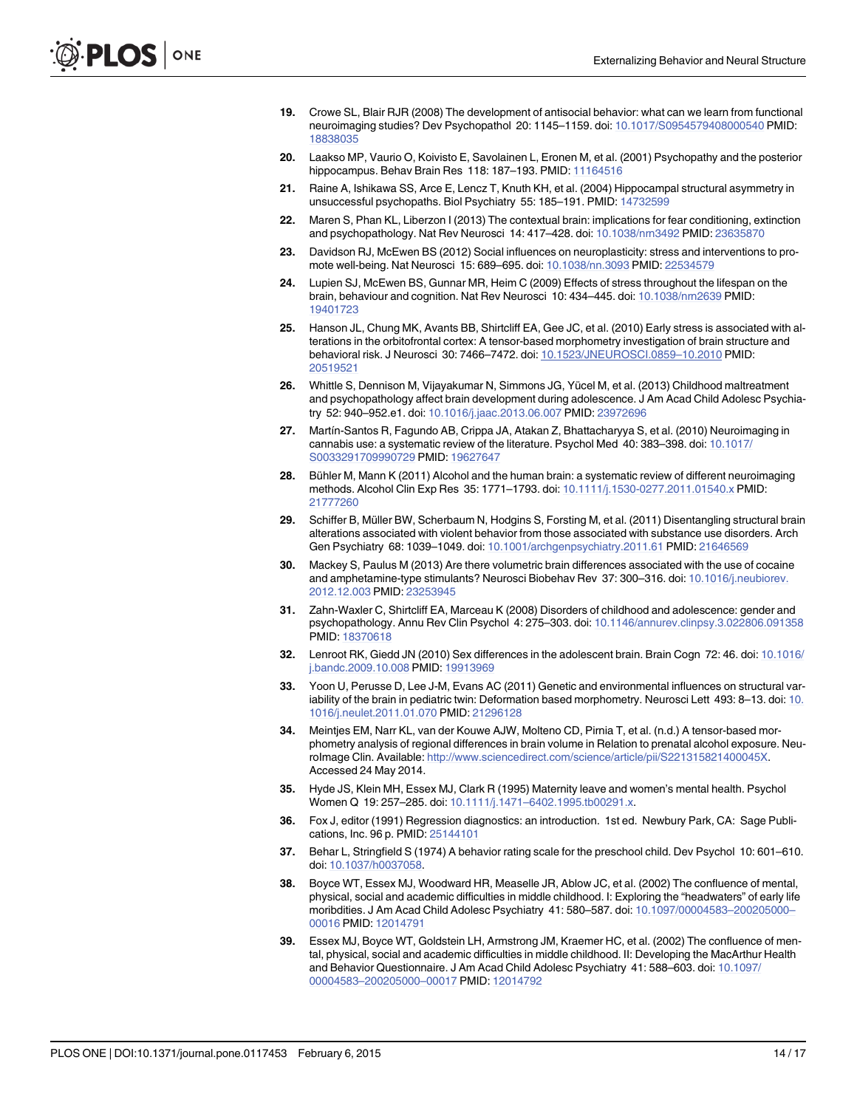- <span id="page-13-0"></span>[19.](#page-1-0) Crowe SL, Blair RJR (2008) The development of antisocial behavior: what can we learn from functional neuroimaging studies? Dev Psychopathol 20: 1145–1159. doi: [10.1017/S0954579408000540](http://dx.doi.org/10.1017/S0954579408000540) PMID: [18838035](http://www.ncbi.nlm.nih.gov/pubmed/18838035)
- [20.](#page-1-0) Laakso MP, Vaurio O, Koivisto E, Savolainen L, Eronen M, et al. (2001) Psychopathy and the posterior hippocampus. Behav Brain Res 118: 187-193. PMID: [11164516](http://www.ncbi.nlm.nih.gov/pubmed/11164516)
- [21.](#page-1-0) Raine A, Ishikawa SS, Arce E, Lencz T, Knuth KH, et al. (2004) Hippocampal structural asymmetry in unsuccessful psychopaths. Biol Psychiatry 55: 185-191. PMID: [14732599](http://www.ncbi.nlm.nih.gov/pubmed/14732599)
- [22.](#page-1-0) Maren S, Phan KL, Liberzon I (2013) The contextual brain: implications for fear conditioning, extinction and psychopathology. Nat Rev Neurosci 14: 417–428. doi: [10.1038/nrn3492](http://dx.doi.org/10.1038/nrn3492) PMID: [23635870](http://www.ncbi.nlm.nih.gov/pubmed/23635870)
- [23.](#page-1-0) Davidson RJ, McEwen BS (2012) Social influences on neuroplasticity: stress and interventions to promote well-being. Nat Neurosci 15: 689–695. doi: [10.1038/nn.3093](http://dx.doi.org/10.1038/nn.3093) PMID: [22534579](http://www.ncbi.nlm.nih.gov/pubmed/22534579)
- [24.](#page-1-0) Lupien SJ, McEwen BS, Gunnar MR, Heim C (2009) Effects of stress throughout the lifespan on the brain, behaviour and cognition. Nat Rev Neurosci 10: 434–445. doi: [10.1038/nrn2639](http://dx.doi.org/10.1038/nrn2639) PMID: [19401723](http://www.ncbi.nlm.nih.gov/pubmed/19401723)
- [25.](#page-7-0) Hanson JL, Chung MK, Avants BB, Shirtcliff EA, Gee JC, et al. (2010) Early stress is associated with alterations in the orbitofrontal cortex: A tensor-based morphometry investigation of brain structure and behavioral risk. J Neurosci 30: 7466–7472. doi: [10.1523/JNEUROSCI.0859](http://dx.doi.org/10.1523/JNEUROSCI.0859–10.2010)–10.2010 PMID: [20519521](http://www.ncbi.nlm.nih.gov/pubmed/20519521)
- [26.](#page-1-0) Whittle S, Dennison M, Vijayakumar N, Simmons JG, Yücel M, et al. (2013) Childhood maltreatment and psychopathology affect brain development during adolescence. J Am Acad Child Adolesc Psychiatry 52: 940–952.e1. doi: [10.1016/j.jaac.2013.06.007](http://dx.doi.org/10.1016/j.jaac.2013.06.007) PMID: [23972696](http://www.ncbi.nlm.nih.gov/pubmed/23972696)
- [27.](#page-1-0) Martín-Santos R, Fagundo AB, Crippa JA, Atakan Z, Bhattacharyya S, et al. (2010) Neuroimaging in cannabis use: a systematic review of the literature. Psychol Med 40: 383–398. doi: [10.1017/](http://dx.doi.org/10.1017/S0033291709990729) [S0033291709990729](http://dx.doi.org/10.1017/S0033291709990729) PMID: [19627647](http://www.ncbi.nlm.nih.gov/pubmed/19627647)
- 28. Bühler M, Mann K (2011) Alcohol and the human brain: a systematic review of different neuroimaging methods. Alcohol Clin Exp Res 35: 1771–1793. doi: [10.1111/j.1530-0277.2011.01540.x](http://dx.doi.org/10.1111/j.1530-0277.2011.01540.x) PMID: [21777260](http://www.ncbi.nlm.nih.gov/pubmed/21777260)
- 29. Schiffer B, Müller BW, Scherbaum N, Hodgins S, Forsting M, et al. (2011) Disentangling structural brain alterations associated with violent behavior from those associated with substance use disorders. Arch Gen Psychiatry 68: 1039–1049. doi: [10.1001/archgenpsychiatry.2011.61](http://dx.doi.org/10.1001/archgenpsychiatry.2011.61) PMID: [21646569](http://www.ncbi.nlm.nih.gov/pubmed/21646569)
- [30.](#page-1-0) Mackey S, Paulus M (2013) Are there volumetric brain differences associated with the use of cocaine and amphetamine-type stimulants? Neurosci Biobehav Rev 37: 300–316. doi: [10.1016/j.neubiorev.](http://dx.doi.org/10.1016/j.neubiorev.2012.12.003) [2012.12.003](http://dx.doi.org/10.1016/j.neubiorev.2012.12.003) PMID: [23253945](http://www.ncbi.nlm.nih.gov/pubmed/23253945)
- [31.](#page-1-0) Zahn-Waxler C, Shirtcliff EA, Marceau K (2008) Disorders of childhood and adolescence: gender and psychopathology. Annu Rev Clin Psychol 4: 275–303. doi: [10.1146/annurev.clinpsy.3.022806.091358](http://dx.doi.org/10.1146/annurev.clinpsy.3.022806.091358) PMID: [18370618](http://www.ncbi.nlm.nih.gov/pubmed/18370618)
- [32.](#page-1-0) Lenroot RK, Giedd JN (2010) Sex differences in the adolescent brain. Brain Cogn 72: 46. doi: [10.1016/](http://dx.doi.org/10.1016/j.bandc.2009.10.008) [j.bandc.2009.10.008](http://dx.doi.org/10.1016/j.bandc.2009.10.008) PMID: [19913969](http://www.ncbi.nlm.nih.gov/pubmed/19913969)
- [33.](#page-1-0) Yoon U, Perusse D, Lee J-M, Evans AC (2011) Genetic and environmental influences on structural var-iability of the brain in pediatric twin: Deformation based morphometry. Neurosci Lett 493: 8-13. doi: [10.](http://dx.doi.org/10.1016/j.neulet.2011.01.070) [1016/j.neulet.2011.01.070](http://dx.doi.org/10.1016/j.neulet.2011.01.070) PMID: [21296128](http://www.ncbi.nlm.nih.gov/pubmed/21296128)
- [34.](#page-1-0) Meintjes EM, Narr KL, van der Kouwe AJW, Molteno CD, Pirnia T, et al. (n.d.) A tensor-based morphometry analysis of regional differences in brain volume in Relation to prenatal alcohol exposure. NeuroImage Clin. Available: [http://www.sciencedirect.com/science/article/pii/S221315821400045X.](http://www.sciencedirect.com/science/article/pii/S221315821400045X) Accessed 24 May 2014.
- [35.](#page-1-0) Hyde JS, Klein MH, Essex MJ, Clark R (1995) Maternity leave and women's mental health. Psychol Women Q 19: 257–285. doi: 10.1111/j.1471–[6402.1995.tb00291.x.](http://dx.doi.org/10.1111/j.1471–6402.1995.tb00291.x)
- [36.](#page-6-0) Fox J, editor (1991) Regression diagnostics: an introduction. 1st ed. Newbury Park, CA: Sage Publications, Inc. 96 p. PMID: [25144101](http://www.ncbi.nlm.nih.gov/pubmed/25144101)
- [37.](#page-2-0) Behar L, Stringfield S (1974) A behavior rating scale for the preschool child. Dev Psychol 10: 601–610. doi: [10.1037/h0037058](http://dx.doi.org/10.1037/h0037058).
- [38.](#page-2-0) Boyce WT, Essex MJ, Woodward HR, Measelle JR, Ablow JC, et al. (2002) The confluence of mental, physical, social and academic difficulties in middle childhood. I: Exploring the "headwaters" of early life moribdities. J Am Acad Child Adolesc Psychiatry 41: 580–587. doi: [10.1097/00004583](http://dx.doi.org/10.1097/00004583–200205000–00016)–200205000– [00016](http://dx.doi.org/10.1097/00004583–200205000–00016) PMID: [12014791](http://www.ncbi.nlm.nih.gov/pubmed/12014791)
- [39.](#page-2-0) Essex MJ, Boyce WT, Goldstein LH, Armstrong JM, Kraemer HC, et al. (2002) The confluence of mental, physical, social and academic difficulties in middle childhood. II: Developing the MacArthur Health and Behavior Questionnaire. J Am Acad Child Adolesc Psychiatry 41: 588–603. doi: [10.1097/](http://dx.doi.org/10.1097/00004583–200205000–00017) 00004583–[200205000](http://dx.doi.org/10.1097/00004583–200205000–00017)–00017 PMID: [12014792](http://www.ncbi.nlm.nih.gov/pubmed/12014792)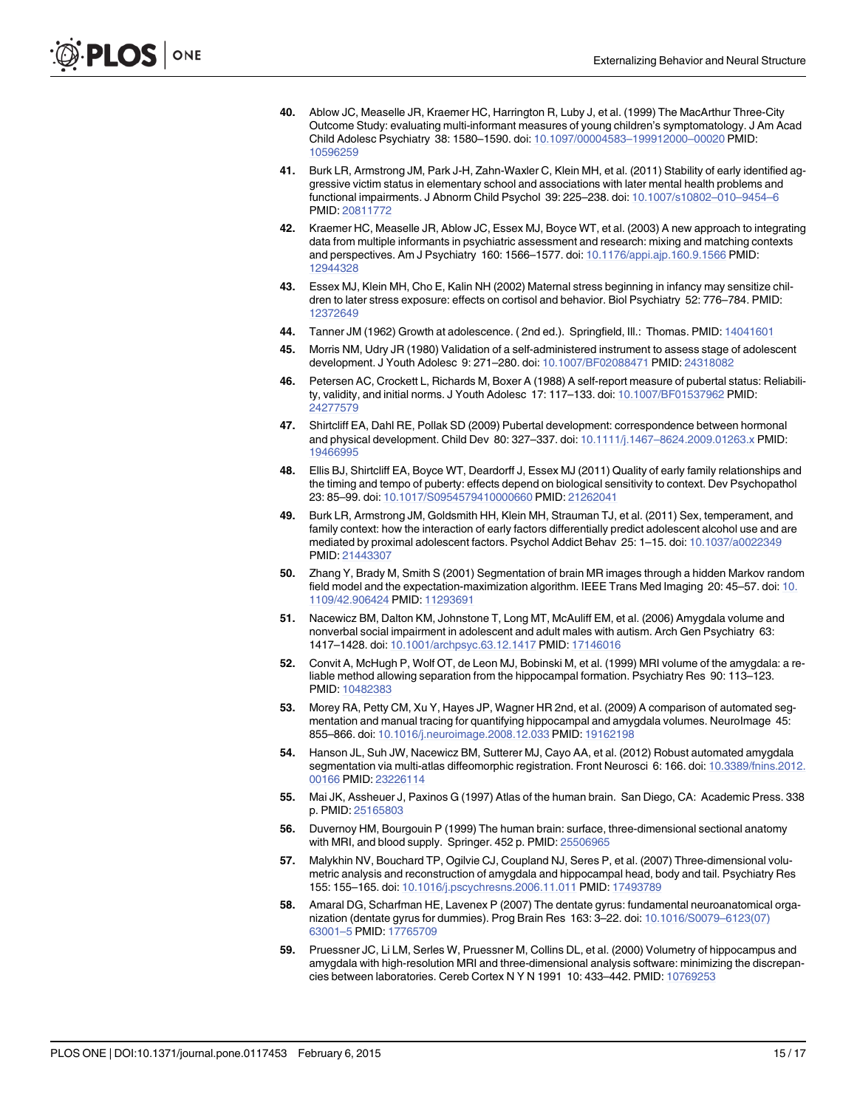- <span id="page-14-0"></span>[40.](#page-2-0) Ablow JC, Measelle JR, Kraemer HC, Harrington R, Luby J, et al. (1999) The MacArthur Three-City Outcome Study: evaluating multi-informant measures of young children's symptomatology. J Am Acad Child Adolesc Psychiatry 38: 1580–1590. doi: [10.1097/00004583](http://dx.doi.org/10.1097/00004583–199912000–00020)–199912000–00020 PMID: [10596259](http://www.ncbi.nlm.nih.gov/pubmed/10596259)
- [41.](#page-2-0) Burk LR, Armstrong JM, Park J-H, Zahn-Waxler C, Klein MH, et al. (2011) Stability of early identified aggressive victim status in elementary school and associations with later mental health problems and functional impairments. J Abnorm Child Psychol 39: 225–238. doi: [10.1007/s10802](http://dx.doi.org/10.1007/s10802–010–9454–6)–010–9454–6 PMID: [20811772](http://www.ncbi.nlm.nih.gov/pubmed/20811772)
- [42.](#page-2-0) Kraemer HC, Measelle JR, Ablow JC, Essex MJ, Boyce WT, et al. (2003) A new approach to integrating data from multiple informants in psychiatric assessment and research: mixing and matching contexts and perspectives. Am J Psychiatry 160: 1566–1577. doi: [10.1176/appi.ajp.160.9.1566](http://dx.doi.org/10.1176/appi.ajp.160.9.1566) PMID: [12944328](http://www.ncbi.nlm.nih.gov/pubmed/12944328)
- [43.](#page-2-0) Essex MJ, Klein MH, Cho E, Kalin NH (2002) Maternal stress beginning in infancy may sensitize children to later stress exposure: effects on cortisol and behavior. Biol Psychiatry 52: 776–784. PMID: [12372649](http://www.ncbi.nlm.nih.gov/pubmed/12372649)
- [44.](#page-3-0) Tanner JM (1962) Growth at adolescence. (2nd ed.). Springfield, Ill.: Thomas. PMID: [14041601](http://www.ncbi.nlm.nih.gov/pubmed/14041601)
- [45.](#page-3-0) Morris NM, Udry JR (1980) Validation of a self-administered instrument to assess stage of adolescent development. J Youth Adolesc 9: 271–280. doi: [10.1007/BF02088471](http://dx.doi.org/10.1007/BF02088471) PMID: [24318082](http://www.ncbi.nlm.nih.gov/pubmed/24318082)
- [46.](#page-3-0) Petersen AC, Crockett L, Richards M, Boxer A (1988) A self-report measure of pubertal status: Reliability, validity, and initial norms. J Youth Adolesc 17: 117–133. doi: [10.1007/BF01537962](http://dx.doi.org/10.1007/BF01537962) PMID: [24277579](http://www.ncbi.nlm.nih.gov/pubmed/24277579)
- [47.](#page-3-0) Shirtcliff EA, Dahl RE, Pollak SD (2009) Pubertal development: correspondence between hormonal and physical development. Child Dev 80: 327–337. doi: 10.1111/j.1467–[8624.2009.01263.x](http://dx.doi.org/10.1111/j.1467–8624.2009.01263.x) PMID: [19466995](http://www.ncbi.nlm.nih.gov/pubmed/19466995)
- [48.](#page-3-0) Ellis BJ, Shirtcliff EA, Boyce WT, Deardorff J, Essex MJ (2011) Quality of early family relationships and the timing and tempo of puberty: effects depend on biological sensitivity to context. Dev Psychopathol 23: 85–99. doi: [10.1017/S0954579410000660](http://dx.doi.org/10.1017/S0954579410000660) PMID: [21262041](http://www.ncbi.nlm.nih.gov/pubmed/21262041)
- [49.](#page-3-0) Burk LR, Armstrong JM, Goldsmith HH, Klein MH, Strauman TJ, et al. (2011) Sex, temperament, and family context: how the interaction of early factors differentially predict adolescent alcohol use and are mediated by proximal adolescent factors. Psychol Addict Behav 25: 1–15. doi: [10.1037/a0022349](http://dx.doi.org/10.1037/a0022349) PMID: [21443307](http://www.ncbi.nlm.nih.gov/pubmed/21443307)
- [50.](#page-3-0) Zhang Y, Brady M, Smith S (2001) Segmentation of brain MR images through a hidden Markov random field model and the expectation-maximization algorithm. IEEE Trans Med Imaging 20: 45–57. doi: [10.](http://dx.doi.org/10.1109/42.906424) [1109/42.906424](http://dx.doi.org/10.1109/42.906424) PMID: [11293691](http://www.ncbi.nlm.nih.gov/pubmed/11293691)
- [51.](#page-3-0) Nacewicz BM, Dalton KM, Johnstone T, Long MT, McAuliff EM, et al. (2006) Amygdala volume and nonverbal social impairment in adolescent and adult males with autism. Arch Gen Psychiatry 63: 1417–1428. doi: [10.1001/archpsyc.63.12.1417](http://dx.doi.org/10.1001/archpsyc.63.12.1417) PMID: [17146016](http://www.ncbi.nlm.nih.gov/pubmed/17146016)
- [52.](#page-3-0) Convit A, McHugh P, Wolf OT, de Leon MJ, Bobinski M, et al. (1999) MRI volume of the amygdala: a reliable method allowing separation from the hippocampal formation. Psychiatry Res 90: 113–123. PMID: [10482383](http://www.ncbi.nlm.nih.gov/pubmed/10482383)
- [53.](#page-3-0) Morey RA, Petty CM, Xu Y, Hayes JP, Wagner HR 2nd, et al. (2009) A comparison of automated segmentation and manual tracing for quantifying hippocampal and amygdala volumes. NeuroImage 45: 855–866. doi: [10.1016/j.neuroimage.2008.12.033](http://dx.doi.org/10.1016/j.neuroimage.2008.12.033) PMID: [19162198](http://www.ncbi.nlm.nih.gov/pubmed/19162198)
- [54.](#page-3-0) Hanson JL, Suh JW, Nacewicz BM, Sutterer MJ, Cayo AA, et al. (2012) Robust automated amygdala segmentation via multi-atlas diffeomorphic registration. Front Neurosci 6: 166. doi: [10.3389/fnins.2012.](http://dx.doi.org/10.3389/fnins.2012.00166) [00166](http://dx.doi.org/10.3389/fnins.2012.00166) PMID: [23226114](http://www.ncbi.nlm.nih.gov/pubmed/23226114)
- [55.](#page-3-0) Mai JK, Assheuer J, Paxinos G (1997) Atlas of the human brain. San Diego, CA: Academic Press. 338 p. PMID: [25165803](http://www.ncbi.nlm.nih.gov/pubmed/25165803)
- [56.](#page-3-0) Duvernoy HM, Bourgouin P (1999) The human brain: surface, three-dimensional sectional anatomy with MRI, and blood supply. Springer. 452 p. PMID: [25506965](http://www.ncbi.nlm.nih.gov/pubmed/25506965)
- [57.](#page-4-0) Malykhin NV, Bouchard TP, Ogilvie CJ, Coupland NJ, Seres P, et al. (2007) Three-dimensional volumetric analysis and reconstruction of amygdala and hippocampal head, body and tail. Psychiatry Res 155: 155–165. doi: [10.1016/j.pscychresns.2006.11.011](http://dx.doi.org/10.1016/j.pscychresns.2006.11.011) PMID: [17493789](http://www.ncbi.nlm.nih.gov/pubmed/17493789)
- [58.](#page-4-0) Amaral DG, Scharfman HE, Lavenex P (2007) The dentate gyrus: fundamental neuroanatomical organization (dentate gyrus for dummies). Prog Brain Res 163: 3–22. doi: [10.1016/S0079](http://dx.doi.org/10.1016/S0079–6123(07)63001–5)–6123(07) [63001](http://dx.doi.org/10.1016/S0079–6123(07)63001–5)–5 PMID: [17765709](http://www.ncbi.nlm.nih.gov/pubmed/17765709)
- [59.](#page-4-0) Pruessner JC, Li LM, Serles W, Pruessner M, Collins DL, et al. (2000) Volumetry of hippocampus and amygdala with high-resolution MRI and three-dimensional analysis software: minimizing the discrepancies between laboratories. Cereb Cortex N Y N 1991 10: 433–442. PMID: [10769253](http://www.ncbi.nlm.nih.gov/pubmed/10769253)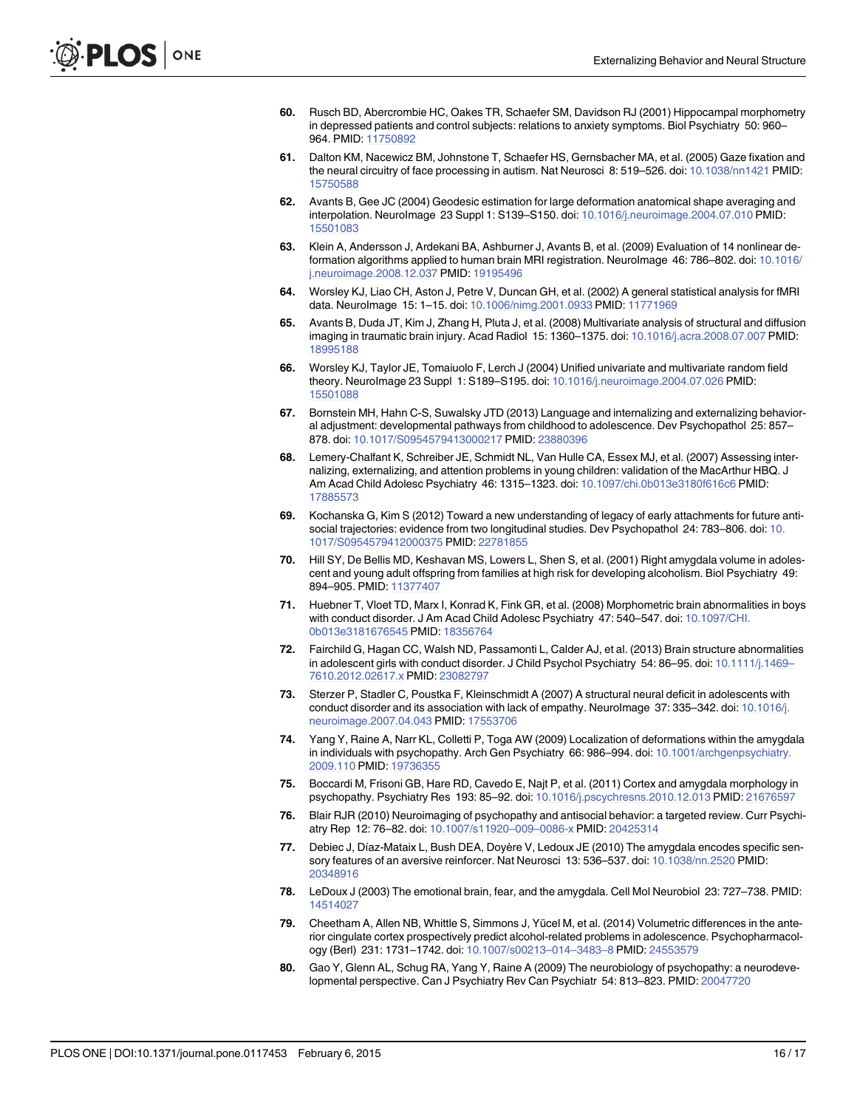- <span id="page-15-0"></span>[60.](#page-4-0) Rusch BD, Abercrombie HC, Oakes TR, Schaefer SM, Davidson RJ (2001) Hippocampal morphometry in depressed patients and control subjects: relations to anxiety symptoms. Biol Psychiatry 50: 960– 964. PMID: [11750892](http://www.ncbi.nlm.nih.gov/pubmed/11750892)
- [61.](#page-4-0) Dalton KM, Nacewicz BM, Johnstone T, Schaefer HS, Gernsbacher MA, et al. (2005) Gaze fixation and the neural circuitry of face processing in autism. Nat Neurosci 8: 519–526. doi: [10.1038/nn1421](http://dx.doi.org/10.1038/nn1421) PMID: [15750588](http://www.ncbi.nlm.nih.gov/pubmed/15750588)
- [62.](#page-4-0) Avants B, Gee JC (2004) Geodesic estimation for large deformation anatomical shape averaging and interpolation. NeuroImage 23 Suppl 1: S139–S150. doi: [10.1016/j.neuroimage.2004.07.010](http://dx.doi.org/10.1016/j.neuroimage.2004.07.010) PMID: [15501083](http://www.ncbi.nlm.nih.gov/pubmed/15501083)
- [63.](#page-4-0) Klein A, Andersson J, Ardekani BA, Ashburner J, Avants B, et al. (2009) Evaluation of 14 nonlinear deformation algorithms applied to human brain MRI registration. NeuroImage 46: 786–802. doi: [10.1016/](http://dx.doi.org/10.1016/j.neuroimage.2008.12.037) [j.neuroimage.2008.12.037](http://dx.doi.org/10.1016/j.neuroimage.2008.12.037) PMID: [19195496](http://www.ncbi.nlm.nih.gov/pubmed/19195496)
- [64.](#page-4-0) Worsley KJ, Liao CH, Aston J, Petre V, Duncan GH, et al. (2002) A general statistical analysis for fMRI data. NeuroImage 15: 1–15. doi: [10.1006/nimg.2001.0933](http://dx.doi.org/10.1006/nimg.2001.0933) PMID: [11771969](http://www.ncbi.nlm.nih.gov/pubmed/11771969)
- [65.](#page-4-0) Avants B, Duda JT, Kim J, Zhang H, Pluta J, et al. (2008) Multivariate analysis of structural and diffusion imaging in traumatic brain injury. Acad Radiol 15: 1360–1375. doi: [10.1016/j.acra.2008.07.007](http://dx.doi.org/10.1016/j.acra.2008.07.007) PMID: [18995188](http://www.ncbi.nlm.nih.gov/pubmed/18995188)
- [66.](#page-7-0) Worsley KJ, Taylor JE, Tomaiuolo F, Lerch J (2004) Unified univariate and multivariate random field theory. NeuroImage 23 Suppl 1: S189–S195. doi: [10.1016/j.neuroimage.2004.07.026](http://dx.doi.org/10.1016/j.neuroimage.2004.07.026) PMID: [15501088](http://www.ncbi.nlm.nih.gov/pubmed/15501088)
- [67.](#page-7-0) Bornstein MH, Hahn C-S, Suwalsky JTD (2013) Language and internalizing and externalizing behavioral adjustment: developmental pathways from childhood to adolescence. Dev Psychopathol 25: 857– 878. doi: [10.1017/S0954579413000217](http://dx.doi.org/10.1017/S0954579413000217) PMID: [23880396](http://www.ncbi.nlm.nih.gov/pubmed/23880396)
- [68.](#page-7-0) Lemery-Chalfant K, Schreiber JE, Schmidt NL, Van Hulle CA, Essex MJ, et al. (2007) Assessing internalizing, externalizing, and attention problems in young children: validation of the MacArthur HBQ. J Am Acad Child Adolesc Psychiatry 46: 1315–1323. doi: [10.1097/chi.0b013e3180f616c6](http://dx.doi.org/10.1097/chi.0b013e3180f616c6) PMID: [17885573](http://www.ncbi.nlm.nih.gov/pubmed/17885573)
- [69.](#page-7-0) Kochanska G, Kim S (2012) Toward a new understanding of legacy of early attachments for future antisocial trajectories: evidence from two longitudinal studies. Dev Psychopathol 24: 783–806. doi: [10.](http://dx.doi.org/10.1017/S0954579412000375) [1017/S0954579412000375](http://dx.doi.org/10.1017/S0954579412000375) PMID: [22781855](http://www.ncbi.nlm.nih.gov/pubmed/22781855)
- [70.](#page-9-0) Hill SY, De Bellis MD, Keshavan MS, Lowers L, Shen S, et al. (2001) Right amygdala volume in adolescent and young adult offspring from families at high risk for developing alcoholism. Biol Psychiatry 49: 894–905. PMID: [11377407](http://www.ncbi.nlm.nih.gov/pubmed/11377407)
- [71.](#page-9-0) Huebner T, Vloet TD, Marx I, Konrad K, Fink GR, et al. (2008) Morphometric brain abnormalities in boys with conduct disorder. J Am Acad Child Adolesc Psychiatry 47: 540–547. doi: [10.1097/CHI.](http://dx.doi.org/10.1097/CHI.0b013e3181676545) [0b013e3181676545](http://dx.doi.org/10.1097/CHI.0b013e3181676545) PMID: [18356764](http://www.ncbi.nlm.nih.gov/pubmed/18356764)
- 72. Fairchild G, Hagan CC, Walsh ND, Passamonti L, Calder AJ, et al. (2013) Brain structure abnormalities in adolescent girls with conduct disorder. J Child Psychol Psychiatry 54: 86-95. doi: [10.1111/j.1469](http://dx.doi.org/10.1111/j.1469–7610.2012.02617.x)-[7610.2012.02617.x](http://dx.doi.org/10.1111/j.1469–7610.2012.02617.x) PMID: [23082797](http://www.ncbi.nlm.nih.gov/pubmed/23082797)
- [73.](#page-9-0) Sterzer P, Stadler C, Poustka F, Kleinschmidt A (2007) A structural neural deficit in adolescents with conduct disorder and its association with lack of empathy. NeuroImage 37: 335–342. doi: [10.1016/j.](http://dx.doi.org/10.1016/j.neuroimage.2007.04.043) [neuroimage.2007.04.043](http://dx.doi.org/10.1016/j.neuroimage.2007.04.043) PMID: [17553706](http://www.ncbi.nlm.nih.gov/pubmed/17553706)
- [74.](#page-9-0) Yang Y, Raine A, Narr KL, Colletti P, Toga AW (2009) Localization of deformations within the amygdala in individuals with psychopathy. Arch Gen Psychiatry 66: 986–994. doi: [10.1001/archgenpsychiatry.](http://dx.doi.org/10.1001/archgenpsychiatry.2009.110) [2009.110](http://dx.doi.org/10.1001/archgenpsychiatry.2009.110) PMID: [19736355](http://www.ncbi.nlm.nih.gov/pubmed/19736355)
- [75.](#page-9-0) Boccardi M, Frisoni GB, Hare RD, Cavedo E, Najt P, et al. (2011) Cortex and amygdala morphology in psychopathy. Psychiatry Res 193: 85-92. doi: [10.1016/j.pscychresns.2010.12.013](http://dx.doi.org/10.1016/j.pscychresns.2010.12.013) PMID: 216765
- [76.](#page-9-0) Blair RJR (2010) Neuroimaging of psychopathy and antisocial behavior: a targeted review. Curr Psychiatry Rep 12: 76–82. doi: [10.1007/s11920](http://dx.doi.org/10.1007/s11920–009–0086-x)–009–0086-x PMID: [20425314](http://www.ncbi.nlm.nih.gov/pubmed/20425314)
- 77. Debiec J, Díaz-Mataix L, Bush DEA, Doyère V, Ledoux JE (2010) The amygdala encodes specific sensory features of an aversive reinforcer. Nat Neurosci 13: 536–537. doi: [10.1038/nn.2520](http://dx.doi.org/10.1038/nn.2520) PMID: [20348916](http://www.ncbi.nlm.nih.gov/pubmed/20348916)
- [78.](#page-9-0) LeDoux J (2003) The emotional brain, fear, and the amygdala. Cell Mol Neurobiol 23: 727-738. PMID: [14514027](http://www.ncbi.nlm.nih.gov/pubmed/14514027)
- [79.](#page-9-0) Cheetham A, Allen NB, Whittle S, Simmons J, Yücel M, et al. (2014) Volumetric differences in the anterior cingulate cortex prospectively predict alcohol-related problems in adolescence. Psychopharmacology (Berl) 231: 1731–1742. doi: [10.1007/s00213](http://dx.doi.org/10.1007/s00213–014–3483–8)–014–3483–8 PMID: [24553579](http://www.ncbi.nlm.nih.gov/pubmed/24553579)
- [80.](#page-10-0) Gao Y, Glenn AL, Schug RA, Yang Y, Raine A (2009) The neurobiology of psychopathy: a neurodevelopmental perspective. Can J Psychiatry Rev Can Psychiatr 54: 813–823. PMID: [20047720](http://www.ncbi.nlm.nih.gov/pubmed/20047720)